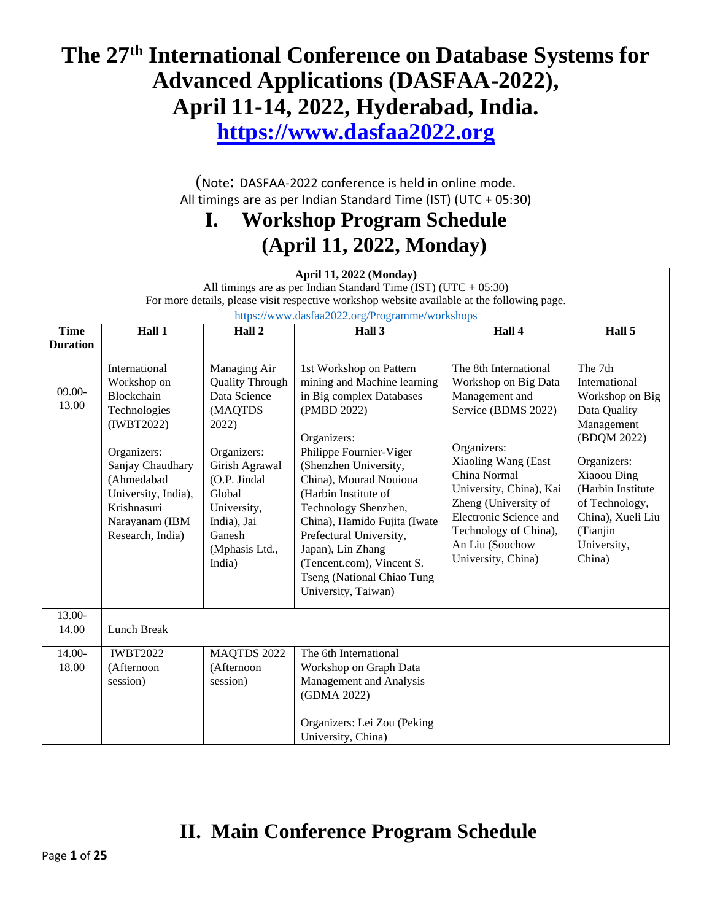# **The 27th International Conference on Database Systems for Advanced Applications (DASFAA-2022), April 11-14, 2022, Hyderabad, India.**

**[https://www.dasfaa2022.org](https://www.pakdd2021.org/)**

(Note: DASFAA-2022 conference is held in online mode. All timings are as per Indian Standard Time (IST) (UTC + 05:30)

## **I. Workshop Program Schedule (April 11, 2022, Monday)**

| <b>April 11, 2022 (Monday)</b>                                     |                                                                                                                                                                                                       |                                                                                                                                                                                                           |                                                                                                                                                                                                                                                                                                                                                                                                                  |                                                                                                                                                                                                                                                                                             |                                                                                                                                                                                                                         |
|--------------------------------------------------------------------|-------------------------------------------------------------------------------------------------------------------------------------------------------------------------------------------------------|-----------------------------------------------------------------------------------------------------------------------------------------------------------------------------------------------------------|------------------------------------------------------------------------------------------------------------------------------------------------------------------------------------------------------------------------------------------------------------------------------------------------------------------------------------------------------------------------------------------------------------------|---------------------------------------------------------------------------------------------------------------------------------------------------------------------------------------------------------------------------------------------------------------------------------------------|-------------------------------------------------------------------------------------------------------------------------------------------------------------------------------------------------------------------------|
| All timings are as per Indian Standard Time (IST) (UTC + $05:30$ ) |                                                                                                                                                                                                       |                                                                                                                                                                                                           |                                                                                                                                                                                                                                                                                                                                                                                                                  |                                                                                                                                                                                                                                                                                             |                                                                                                                                                                                                                         |
|                                                                    |                                                                                                                                                                                                       |                                                                                                                                                                                                           | For more details, please visit respective workshop website available at the following page.                                                                                                                                                                                                                                                                                                                      |                                                                                                                                                                                                                                                                                             |                                                                                                                                                                                                                         |
|                                                                    |                                                                                                                                                                                                       |                                                                                                                                                                                                           | https://www.dasfaa2022.org/Programme/workshops                                                                                                                                                                                                                                                                                                                                                                   |                                                                                                                                                                                                                                                                                             |                                                                                                                                                                                                                         |
| <b>Time</b>                                                        | Hall 1                                                                                                                                                                                                | Hall 2                                                                                                                                                                                                    | Hall 3                                                                                                                                                                                                                                                                                                                                                                                                           | Hall 4                                                                                                                                                                                                                                                                                      | Hall 5                                                                                                                                                                                                                  |
| <b>Duration</b>                                                    |                                                                                                                                                                                                       |                                                                                                                                                                                                           |                                                                                                                                                                                                                                                                                                                                                                                                                  |                                                                                                                                                                                                                                                                                             |                                                                                                                                                                                                                         |
| $09.00 -$<br>13.00                                                 | International<br>Workshop on<br>Blockchain<br>Technologies<br>(IWBT2022)<br>Organizers:<br>Sanjay Chaudhary<br>(Ahmedabad<br>University, India),<br>Krishnasuri<br>Narayanam (IBM<br>Research, India) | Managing Air<br><b>Quality Through</b><br>Data Science<br>(MAQTDS<br>2022)<br>Organizers:<br>Girish Agrawal<br>(O.P. Jindal<br>Global<br>University,<br>India), Jai<br>Ganesh<br>(Mphasis Ltd.,<br>India) | 1st Workshop on Pattern<br>mining and Machine learning<br>in Big complex Databases<br>(PMBD 2022)<br>Organizers:<br>Philippe Fournier-Viger<br>(Shenzhen University,<br>China), Mourad Nouioua<br>(Harbin Institute of<br>Technology Shenzhen,<br>China), Hamido Fujita (Iwate<br>Prefectural University,<br>Japan), Lin Zhang<br>(Tencent.com), Vincent S.<br>Tseng (National Chiao Tung<br>University, Taiwan) | The 8th International<br>Workshop on Big Data<br>Management and<br>Service (BDMS 2022)<br>Organizers:<br>Xiaoling Wang (East<br>China Normal<br>University, China), Kai<br>Zheng (University of<br>Electronic Science and<br>Technology of China),<br>An Liu (Soochow<br>University, China) | The 7th<br>International<br>Workshop on Big<br>Data Quality<br>Management<br>(BDQM 2022)<br>Organizers:<br>Xiaoou Ding<br>(Harbin Institute<br>of Technology,<br>China), Xueli Liu<br>(Tianjin<br>University,<br>China) |
| $13.00-$<br>14.00                                                  | Lunch Break                                                                                                                                                                                           |                                                                                                                                                                                                           |                                                                                                                                                                                                                                                                                                                                                                                                                  |                                                                                                                                                                                                                                                                                             |                                                                                                                                                                                                                         |
| 14.00-                                                             | <b>IWBT2022</b>                                                                                                                                                                                       | MAQTDS 2022                                                                                                                                                                                               | The 6th International                                                                                                                                                                                                                                                                                                                                                                                            |                                                                                                                                                                                                                                                                                             |                                                                                                                                                                                                                         |
| 18.00                                                              | (Afternoon                                                                                                                                                                                            | (Afternoon                                                                                                                                                                                                | Workshop on Graph Data                                                                                                                                                                                                                                                                                                                                                                                           |                                                                                                                                                                                                                                                                                             |                                                                                                                                                                                                                         |
|                                                                    | session)                                                                                                                                                                                              | session)                                                                                                                                                                                                  | Management and Analysis                                                                                                                                                                                                                                                                                                                                                                                          |                                                                                                                                                                                                                                                                                             |                                                                                                                                                                                                                         |
|                                                                    |                                                                                                                                                                                                       |                                                                                                                                                                                                           | (GDMA 2022)                                                                                                                                                                                                                                                                                                                                                                                                      |                                                                                                                                                                                                                                                                                             |                                                                                                                                                                                                                         |
|                                                                    |                                                                                                                                                                                                       |                                                                                                                                                                                                           | Organizers: Lei Zou (Peking                                                                                                                                                                                                                                                                                                                                                                                      |                                                                                                                                                                                                                                                                                             |                                                                                                                                                                                                                         |
|                                                                    |                                                                                                                                                                                                       |                                                                                                                                                                                                           | University, China)                                                                                                                                                                                                                                                                                                                                                                                               |                                                                                                                                                                                                                                                                                             |                                                                                                                                                                                                                         |

## **II. Main Conference Program Schedule**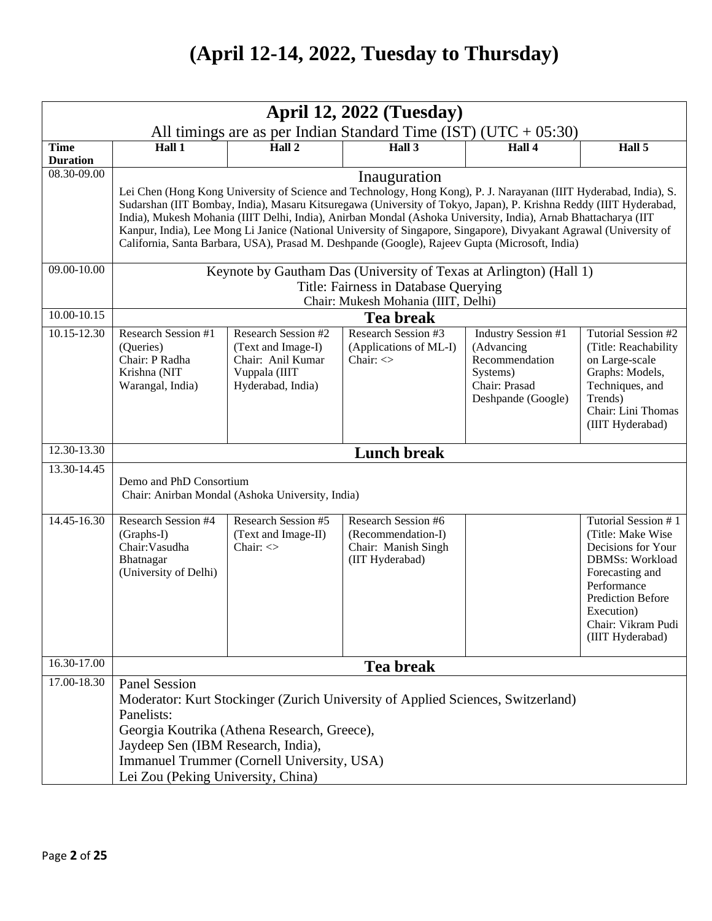# **(April 12-14, 2022, Tuesday to Thursday)**

|                 | <b>April 12, 2022 (Tuesday)</b>                                                                                                                                                                                                                                                                                                                                                                                                                                                                                                                                                                  |                                                                                                             |                                                                                            |                                                                                                        |                                                                                                                                                                                                                |
|-----------------|--------------------------------------------------------------------------------------------------------------------------------------------------------------------------------------------------------------------------------------------------------------------------------------------------------------------------------------------------------------------------------------------------------------------------------------------------------------------------------------------------------------------------------------------------------------------------------------------------|-------------------------------------------------------------------------------------------------------------|--------------------------------------------------------------------------------------------|--------------------------------------------------------------------------------------------------------|----------------------------------------------------------------------------------------------------------------------------------------------------------------------------------------------------------------|
| <b>Time</b>     | All timings are as per Indian Standard Time (IST) (UTC + $05:30$ )<br>$\overline{Hall 2}$<br>Hall1<br>Hall $3$<br>Hall 4<br>Hall 5                                                                                                                                                                                                                                                                                                                                                                                                                                                               |                                                                                                             |                                                                                            |                                                                                                        |                                                                                                                                                                                                                |
| <b>Duration</b> |                                                                                                                                                                                                                                                                                                                                                                                                                                                                                                                                                                                                  |                                                                                                             |                                                                                            |                                                                                                        |                                                                                                                                                                                                                |
| 08.30-09.00     | Inauguration<br>Lei Chen (Hong Kong University of Science and Technology, Hong Kong), P. J. Narayanan (IIIT Hyderabad, India), S.<br>Sudarshan (IIT Bombay, India), Masaru Kitsuregawa (University of Tokyo, Japan), P. Krishna Reddy (IIIT Hyderabad,<br>India), Mukesh Mohania (IIIT Delhi, India), Anirban Mondal (Ashoka University, India), Arnab Bhattacharya (IIT<br>Kanpur, India), Lee Mong Li Janice (National University of Singapore, Singapore), Divyakant Agrawal (University of<br>California, Santa Barbara, USA), Prasad M. Deshpande (Google), Rajeev Gupta (Microsoft, India) |                                                                                                             |                                                                                            |                                                                                                        |                                                                                                                                                                                                                |
| $09.00 - 10.00$ | Keynote by Gautham Das (University of Texas at Arlington) (Hall 1)<br>Title: Fairness in Database Querying<br>Chair: Mukesh Mohania (IIIT, Delhi)                                                                                                                                                                                                                                                                                                                                                                                                                                                |                                                                                                             |                                                                                            |                                                                                                        |                                                                                                                                                                                                                |
| 10.00-10.15     | <b>Tea break</b>                                                                                                                                                                                                                                                                                                                                                                                                                                                                                                                                                                                 |                                                                                                             |                                                                                            |                                                                                                        |                                                                                                                                                                                                                |
| 10.15-12.30     | Research Session #1<br>(Queries)<br>Chair: P Radha<br>Krishna (NIT<br>Warangal, India)                                                                                                                                                                                                                                                                                                                                                                                                                                                                                                           | <b>Research Session #2</b><br>(Text and Image-I)<br>Chair: Anil Kumar<br>Vuppala (IIIT<br>Hyderabad, India) | <b>Research Session #3</b><br>(Applications of ML-I)<br>Chair: $\langle \rangle$           | Industry Session #1<br>(Advancing<br>Recommendation<br>Systems)<br>Chair: Prasad<br>Deshpande (Google) | Tutorial Session #2<br>(Title: Reachability)<br>on Large-scale<br>Graphs: Models,<br>Techniques, and<br>Trends)<br>Chair: Lini Thomas<br>(IIIT Hyderabad)                                                      |
| 12.30-13.30     |                                                                                                                                                                                                                                                                                                                                                                                                                                                                                                                                                                                                  |                                                                                                             | <b>Lunch break</b>                                                                         |                                                                                                        |                                                                                                                                                                                                                |
| 13.30-14.45     | Demo and PhD Consortium                                                                                                                                                                                                                                                                                                                                                                                                                                                                                                                                                                          | Chair: Anirban Mondal (Ashoka University, India)                                                            |                                                                                            |                                                                                                        |                                                                                                                                                                                                                |
| 14.45-16.30     | <b>Research Session #4</b><br>$(Graphs-I)$<br>Chair: Vasudha<br>Bhatnagar<br>(University of Delhi)                                                                                                                                                                                                                                                                                                                                                                                                                                                                                               | <b>Research Session #5</b><br>(Text and Image-II)<br>Chair: $\langle \rangle$                               | <b>Research Session #6</b><br>(Recommendation-I)<br>Chair: Manish Singh<br>(IIT Hyderabad) |                                                                                                        | Tutorial Session #1<br>(Title: Make Wise<br>Decisions for Your<br><b>DBMSs: Workload</b><br>Forecasting and<br>Performance<br><b>Prediction Before</b><br>Execution)<br>Chair: Vikram Pudi<br>(IIIT Hyderabad) |
| 16.30-17.00     |                                                                                                                                                                                                                                                                                                                                                                                                                                                                                                                                                                                                  |                                                                                                             | <b>Tea break</b>                                                                           |                                                                                                        |                                                                                                                                                                                                                |
| 17.00-18.30     | <b>Panel Session</b><br>Panelists:<br>Jaydeep Sen (IBM Research, India),<br>Lei Zou (Peking University, China)                                                                                                                                                                                                                                                                                                                                                                                                                                                                                   | Georgia Koutrika (Athena Research, Greece),<br>Immanuel Trummer (Cornell University, USA)                   | Moderator: Kurt Stockinger (Zurich University of Applied Sciences, Switzerland)            |                                                                                                        |                                                                                                                                                                                                                |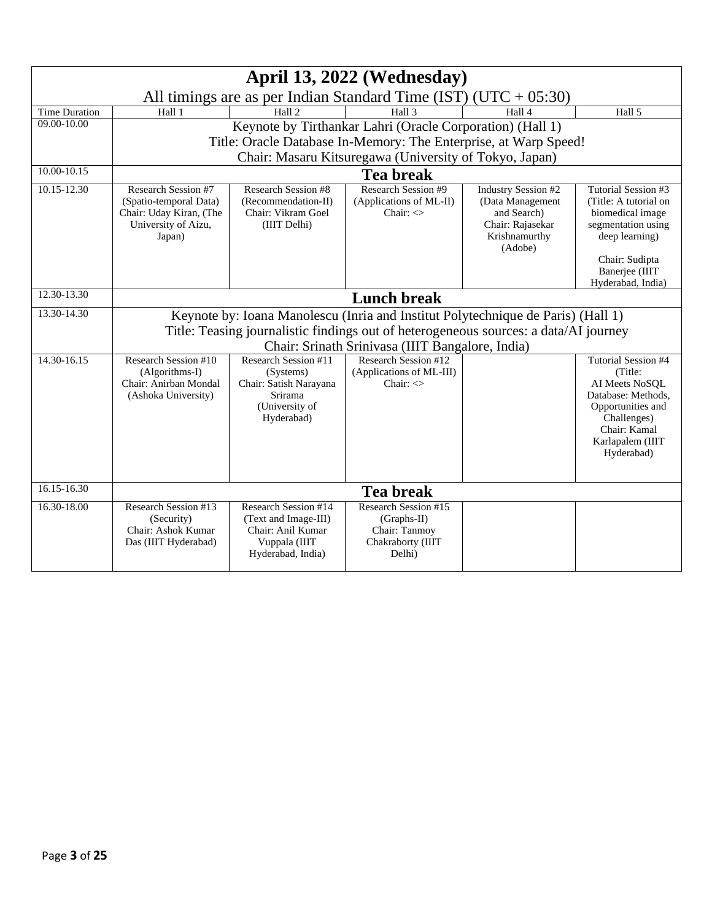| April 13, 2022 (Wednesday) |                                                                                                           |                                                                                                         |                                                                                       |                                                                                                               |                                                                                                                                                              |
|----------------------------|-----------------------------------------------------------------------------------------------------------|---------------------------------------------------------------------------------------------------------|---------------------------------------------------------------------------------------|---------------------------------------------------------------------------------------------------------------|--------------------------------------------------------------------------------------------------------------------------------------------------------------|
|                            | All timings are as per Indian Standard Time (IST) (UTC + $05:30$ )                                        |                                                                                                         |                                                                                       |                                                                                                               |                                                                                                                                                              |
| Time Duration              | Hall 1                                                                                                    | Hall <sub>2</sub>                                                                                       | Hall 3                                                                                | Hall 4                                                                                                        | Hall 5                                                                                                                                                       |
| $09.00 - 10.00$            |                                                                                                           |                                                                                                         | Keynote by Tirthankar Lahri (Oracle Corporation) (Hall 1)                             |                                                                                                               |                                                                                                                                                              |
|                            |                                                                                                           |                                                                                                         | Title: Oracle Database In-Memory: The Enterprise, at Warp Speed!                      |                                                                                                               |                                                                                                                                                              |
|                            | Chair: Masaru Kitsuregawa (University of Tokyo, Japan)                                                    |                                                                                                         |                                                                                       |                                                                                                               |                                                                                                                                                              |
| 10.00-10.15                | <b>Tea break</b>                                                                                          |                                                                                                         |                                                                                       |                                                                                                               |                                                                                                                                                              |
| 10.15-12.30                | Research Session #7<br>(Spatio-temporal Data)<br>Chair: Uday Kiran, (The<br>University of Aizu,<br>Japan) | <b>Research Session #8</b><br>(Recommendation-II)<br>Chair: Vikram Goel<br>(IIIT Delhi)                 | <b>Research Session #9</b><br>(Applications of ML-II)<br>Chair: $\leq$                | <b>Industry Session #2</b><br>(Data Management<br>and Search)<br>Chair: Rajasekar<br>Krishnamurthy<br>(Adobe) | Tutorial Session #3<br>(Title: A tutorial on<br>biomedical image<br>segmentation using<br>deep learning)<br>Chair: Sudipta                                   |
|                            |                                                                                                           |                                                                                                         |                                                                                       |                                                                                                               | Banerjee (IIIT<br>Hyderabad, India)                                                                                                                          |
| 12.30-13.30                |                                                                                                           |                                                                                                         | <b>Lunch break</b>                                                                    |                                                                                                               |                                                                                                                                                              |
| 13.30-14.30                | Keynote by: Ioana Manolescu (Inria and Institut Polytechnique de Paris) (Hall 1)                          |                                                                                                         |                                                                                       |                                                                                                               |                                                                                                                                                              |
|                            |                                                                                                           |                                                                                                         | Title: Teasing journalistic findings out of heterogeneous sources: a data/AI journey  |                                                                                                               |                                                                                                                                                              |
|                            | Chair: Srinath Srinivasa (IIIT Bangalore, India)                                                          |                                                                                                         |                                                                                       |                                                                                                               |                                                                                                                                                              |
| 14.30-16.15                | <b>Research Session #10</b><br>(Algorithms-I)<br>Chair: Anirban Mondal<br>(Ashoka University)             | Research Session #11<br>(Systems)<br>Chair: Satish Narayana<br>Srirama<br>(University of<br>Hyderabad)  | Research Session #12<br>(Applications of ML-III)<br>Chair: $\Diamond$                 |                                                                                                               | Tutorial Session #4<br>(Title:<br>AI Meets NoSOL<br>Database: Methods.<br>Opportunities and<br>Challenges)<br>Chair: Kamal<br>Karlapalem (IIIT<br>Hyderabad) |
| 16.15-16.30                |                                                                                                           |                                                                                                         | <b>Tea break</b>                                                                      |                                                                                                               |                                                                                                                                                              |
| 16.30-18.00                | Research Session #13<br>(Security)<br>Chair: Ashok Kumar<br>Das (IIIT Hyderabad)                          | Research Session #14<br>(Text and Image-III)<br>Chair: Anil Kumar<br>Vuppala (IIIT<br>Hyderabad, India) | Research Session #15<br>$(Graphs-II)$<br>Chair: Tanmoy<br>Chakraborty (IIIT<br>Delhi) |                                                                                                               |                                                                                                                                                              |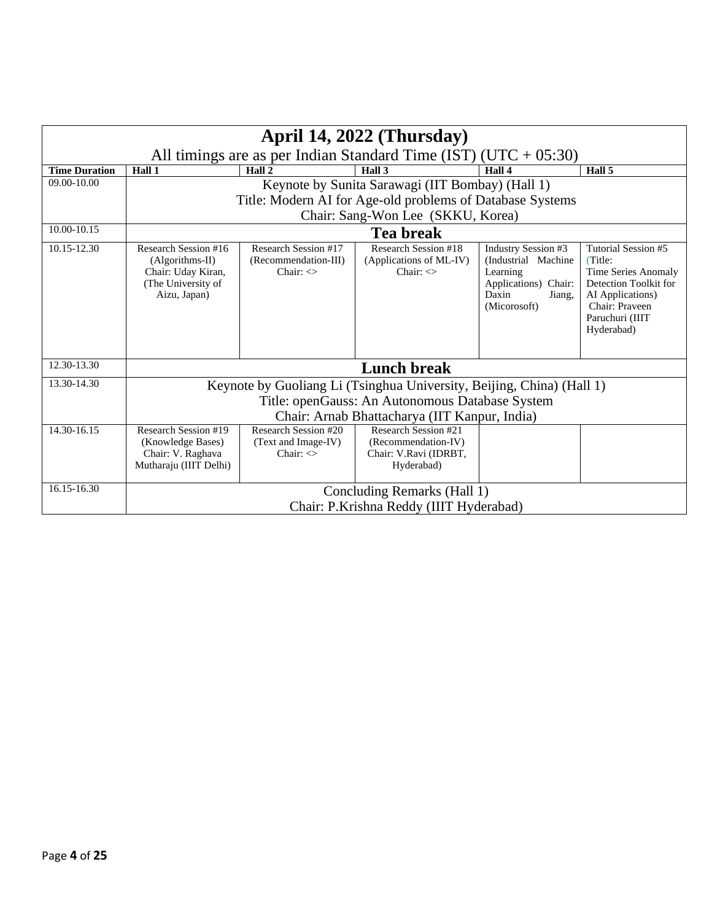|                      | April 14, 2022 (Thursday)                                                                                                                                                 |                                                                   |                                                                                                               |                                                                                                                   |                                                                                                                                                       |
|----------------------|---------------------------------------------------------------------------------------------------------------------------------------------------------------------------|-------------------------------------------------------------------|---------------------------------------------------------------------------------------------------------------|-------------------------------------------------------------------------------------------------------------------|-------------------------------------------------------------------------------------------------------------------------------------------------------|
|                      | All timings are as per Indian Standard Time (IST) ( $UTC + 05:30$ )                                                                                                       |                                                                   |                                                                                                               |                                                                                                                   |                                                                                                                                                       |
| <b>Time Duration</b> | Hall 1                                                                                                                                                                    | Hall 2                                                            | Hall 3                                                                                                        | Hall 4                                                                                                            | Hall 5                                                                                                                                                |
| 09.00-10.00          |                                                                                                                                                                           |                                                                   | Keynote by Sunita Sarawagi (IIT Bombay) (Hall 1)<br>Title: Modern AI for Age-old problems of Database Systems |                                                                                                                   |                                                                                                                                                       |
|                      |                                                                                                                                                                           |                                                                   | Chair: Sang-Won Lee (SKKU, Korea)                                                                             |                                                                                                                   |                                                                                                                                                       |
| 10.00-10.15          | Tea break                                                                                                                                                                 |                                                                   |                                                                                                               |                                                                                                                   |                                                                                                                                                       |
| 10.15-12.30          | Research Session #16<br>(Algorithms-II)<br>Chair: Uday Kiran,<br>(The University of<br>Aizu, Japan)                                                                       | Research Session #17<br>(Recommendation-III)<br>Chair: $\Diamond$ | Research Session #18<br>(Applications of ML-IV)<br>Chair: $\Diamond$                                          | Industry Session #3<br>(Industrial Machine<br>Learning<br>Applications) Chair:<br>Daxin<br>Jiang,<br>(Micorosoft) | Tutorial Session #5<br>(Title:<br>Time Series Anomaly<br>Detection Toolkit for<br>AI Applications)<br>Chair: Praveen<br>Paruchuri (IIIT<br>Hyderabad) |
| 12.30-13.30          | <b>Lunch break</b>                                                                                                                                                        |                                                                   |                                                                                                               |                                                                                                                   |                                                                                                                                                       |
| 13.30-14.30          | Keynote by Guoliang Li (Tsinghua University, Beijing, China) (Hall 1)<br>Title: openGauss: An Autonomous Database System<br>Chair: Arnab Bhattacharya (IIT Kanpur, India) |                                                                   |                                                                                                               |                                                                                                                   |                                                                                                                                                       |
| 14.30-16.15          | Research Session #19<br>(Knowledge Bases)<br>Chair: V. Raghava<br>Mutharaju (IIIT Delhi)                                                                                  | Research Session #20<br>(Text and Image-IV)<br>Chair: $\leq$      | Research Session #21<br>(Recommendation-IV)<br>Chair: V.Ravi (IDRBT,<br>Hyderabad)                            |                                                                                                                   |                                                                                                                                                       |
| 16.15-16.30          |                                                                                                                                                                           |                                                                   | Concluding Remarks (Hall 1)<br>Chair: P.Krishna Reddy (IIIT Hyderabad)                                        |                                                                                                                   |                                                                                                                                                       |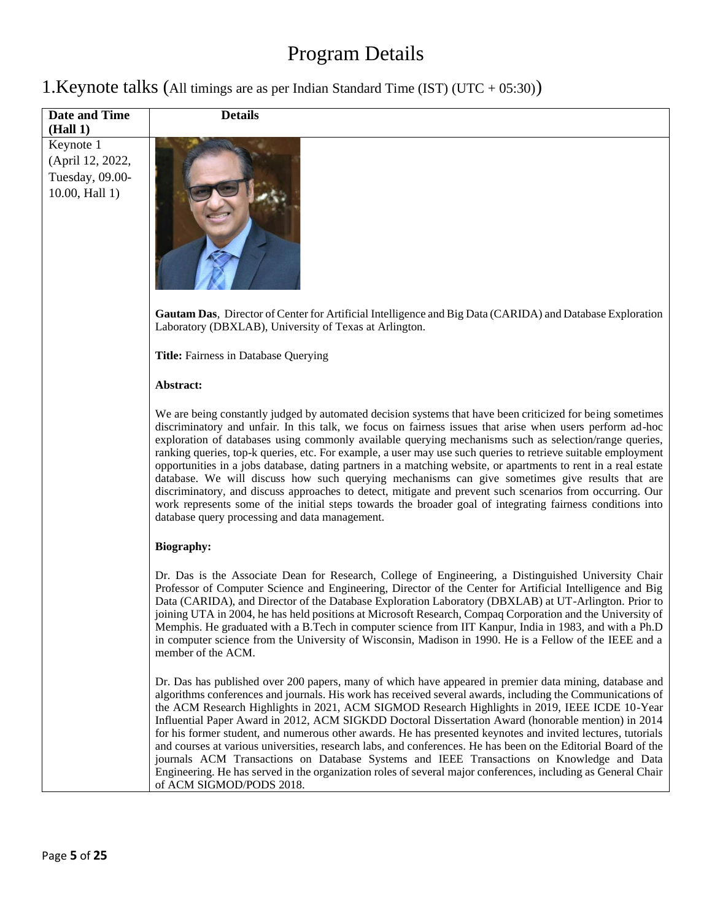# Program Details

| 1. Keynote talks (All timings are as per Indian Standard Time (IST) (UTC + 05:30)) |  |  |  |  |  |
|------------------------------------------------------------------------------------|--|--|--|--|--|
|------------------------------------------------------------------------------------|--|--|--|--|--|

| Date and Time<br>(Hall 1)                                          | <b>Details</b>                                                                                                                                                                                                                                                                                                                                                                                                                                                                                                                                                                                                                                                                                                                                                                                                                                                                                                                                        |
|--------------------------------------------------------------------|-------------------------------------------------------------------------------------------------------------------------------------------------------------------------------------------------------------------------------------------------------------------------------------------------------------------------------------------------------------------------------------------------------------------------------------------------------------------------------------------------------------------------------------------------------------------------------------------------------------------------------------------------------------------------------------------------------------------------------------------------------------------------------------------------------------------------------------------------------------------------------------------------------------------------------------------------------|
| Keynote 1<br>(April 12, 2022,<br>Tuesday, 09.00-<br>10.00, Hall 1) |                                                                                                                                                                                                                                                                                                                                                                                                                                                                                                                                                                                                                                                                                                                                                                                                                                                                                                                                                       |
|                                                                    | Gautam Das, Director of Center for Artificial Intelligence and Big Data (CARIDA) and Database Exploration<br>Laboratory (DBXLAB), University of Texas at Arlington.                                                                                                                                                                                                                                                                                                                                                                                                                                                                                                                                                                                                                                                                                                                                                                                   |
|                                                                    | Title: Fairness in Database Querying                                                                                                                                                                                                                                                                                                                                                                                                                                                                                                                                                                                                                                                                                                                                                                                                                                                                                                                  |
|                                                                    | Abstract:                                                                                                                                                                                                                                                                                                                                                                                                                                                                                                                                                                                                                                                                                                                                                                                                                                                                                                                                             |
|                                                                    | We are being constantly judged by automated decision systems that have been criticized for being sometimes<br>discriminatory and unfair. In this talk, we focus on fairness issues that arise when users perform ad-hoc<br>exploration of databases using commonly available querying mechanisms such as selection/range queries,<br>ranking queries, top-k queries, etc. For example, a user may use such queries to retrieve suitable employment<br>opportunities in a jobs database, dating partners in a matching website, or apartments to rent in a real estate<br>database. We will discuss how such querying mechanisms can give sometimes give results that are<br>discriminatory, and discuss approaches to detect, mitigate and prevent such scenarios from occurring. Our<br>work represents some of the initial steps towards the broader goal of integrating fairness conditions into<br>database query processing and data management. |
|                                                                    | <b>Biography:</b>                                                                                                                                                                                                                                                                                                                                                                                                                                                                                                                                                                                                                                                                                                                                                                                                                                                                                                                                     |
|                                                                    | Dr. Das is the Associate Dean for Research, College of Engineering, a Distinguished University Chair<br>Professor of Computer Science and Engineering, Director of the Center for Artificial Intelligence and Big<br>Data (CARIDA), and Director of the Database Exploration Laboratory (DBXLAB) at UT-Arlington. Prior to<br>joining UTA in 2004, he has held positions at Microsoft Research, Compaq Corporation and the University of<br>Memphis. He graduated with a B.Tech in computer science from IIT Kanpur, India in 1983, and with a Ph.D<br>in computer science from the University of Wisconsin, Madison in 1990. He is a Fellow of the IEEE and a<br>member of the ACM.                                                                                                                                                                                                                                                                  |
|                                                                    | Dr. Das has published over 200 papers, many of which have appeared in premier data mining, database and<br>algorithms conferences and journals. His work has received several awards, including the Communications of<br>the ACM Research Highlights in 2021, ACM SIGMOD Research Highlights in 2019, IEEE ICDE 10-Year<br>Influential Paper Award in 2012, ACM SIGKDD Doctoral Dissertation Award (honorable mention) in 2014<br>for his former student, and numerous other awards. He has presented keynotes and invited lectures, tutorials<br>and courses at various universities, research labs, and conferences. He has been on the Editorial Board of the                                                                                                                                                                                                                                                                                      |
|                                                                    | journals ACM Transactions on Database Systems and IEEE Transactions on Knowledge and Data<br>Engineering. He has served in the organization roles of several major conferences, including as General Chair<br>of ACM SIGMOD/PODS 2018.                                                                                                                                                                                                                                                                                                                                                                                                                                                                                                                                                                                                                                                                                                                |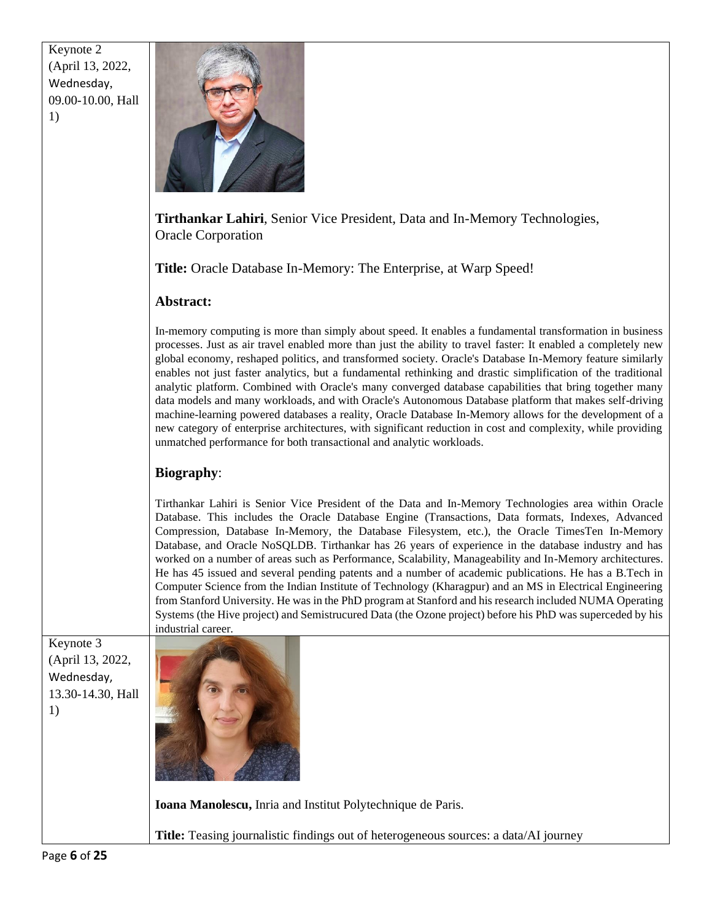| Keynote 2         |
|-------------------|
| (April 13, 2022,  |
| Wednesday,        |
| 09.00-10.00, Hall |
| 1)                |



**Tirthankar Lahiri**, Senior Vice President, Data and In-Memory Technologies, Oracle Corporation

**Title:** Oracle Database In-Memory: The Enterprise, at Warp Speed!

#### **Abstract:**

In-memory computing is more than simply about speed. It enables a fundamental transformation in business processes. Just as air travel enabled more than just the ability to travel faster: It enabled a completely new global economy, reshaped politics, and transformed society. Oracle's Database In-Memory feature similarly enables not just faster analytics, but a fundamental rethinking and drastic simplification of the traditional analytic platform. Combined with Oracle's many converged database capabilities that bring together many data models and many workloads, and with Oracle's Autonomous Database platform that makes self-driving machine-learning powered databases a reality, Oracle Database In-Memory allows for the development of a new category of enterprise architectures, with significant reduction in cost and complexity, while providing unmatched performance for both transactional and analytic workloads.

#### **Biography**:

Tirthankar Lahiri is Senior Vice President of the Data and In-Memory Technologies area within Oracle Database. This includes the Oracle Database Engine (Transactions, Data formats, Indexes, Advanced Compression, Database In-Memory, the Database Filesystem, etc.), the Oracle TimesTen In-Memory Database, and Oracle NoSQLDB. Tirthankar has 26 years of experience in the database industry and has worked on a number of areas such as Performance, Scalability, Manageability and In-Memory architectures. He has 45 issued and several pending patents and a number of academic publications. He has a B.Tech in Computer Science from the Indian Institute of Technology (Kharagpur) and an MS in Electrical Engineering from Stanford University. He was in the PhD program at Stanford and his research included NUMA Operating Systems (the Hive project) and Semistrucured Data (the Ozone project) before his PhD was superceded by his industrial career.

Keynote 3 (April 13, 2022, Wednesday, 13.30-14.30, Hall 1)



**Ioana Manolescu,** Inria and Institut Polytechnique de Paris.

**Title:** Teasing journalistic findings out of heterogeneous sources: a data/AI journey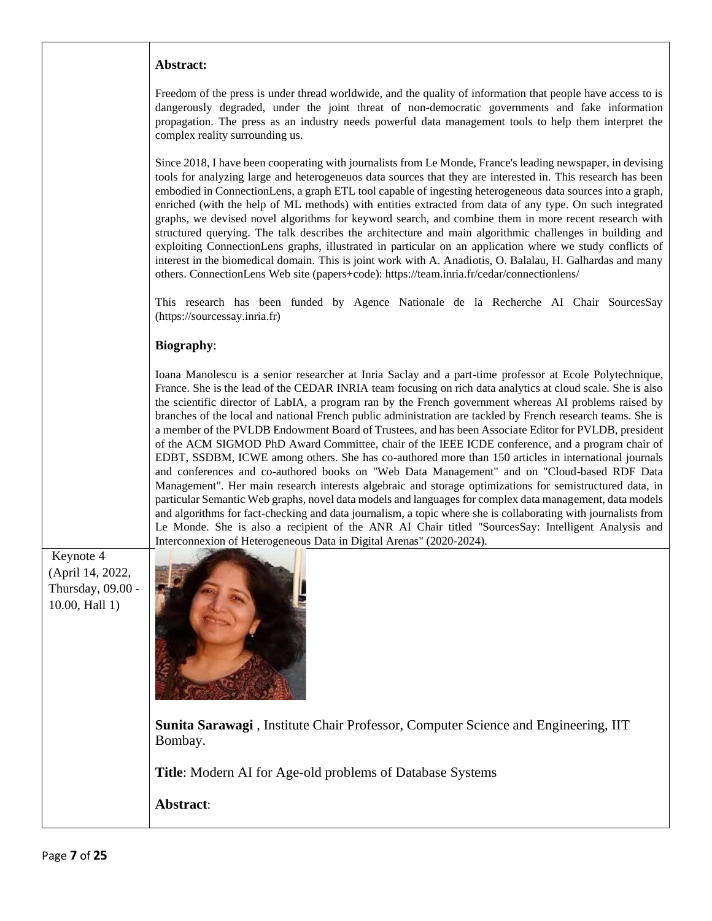Freedom of the press is under thread worldwide, and the quality of information that people have access to is dangerously degraded, under the joint threat of non-democratic governments and fake information propagation. The press as an industry needs powerful data management tools to help them interpret the complex reality surrounding us.

Since 2018, I have been cooperating with journalists from Le Monde, France's leading newspaper, in devising tools for analyzing large and heterogeneuos data sources that they are interested in. This research has been embodied in ConnectionLens, a graph ETL tool capable of ingesting heterogeneous data sources into a graph, enriched (with the help of ML methods) with entities extracted from data of any type. On such integrated graphs, we devised novel algorithms for keyword search, and combine them in more recent research with structured querying. The talk describes the architecture and main algorithmic challenges in building and exploiting ConnectionLens graphs, illustrated in particular on an application where we study conflicts of interest in the biomedical domain. This is joint work with A. Anadiotis, O. Balalau, H. Galhardas and many others. ConnectionLens Web site (papers+code): https://team.inria.fr/cedar/connectionlens/

This research has been funded by Agence Nationale de la Recherche AI Chair SourcesSay (https://sourcessay.inria.fr)

#### **Biography**:

Ioana Manolescu is a senior researcher at Inria Saclay and a part-time professor at Ecole Polytechnique, France. She is the lead of the CEDAR INRIA team focusing on rich data analytics at cloud scale. She is also the scientific director of LabIA, a program ran by the French government whereas AI problems raised by branches of the local and national French public administration are tackled by French research teams. She is a member of the PVLDB Endowment Board of Trustees, and has been Associate Editor for PVLDB, president of the ACM SIGMOD PhD Award Committee, chair of the IEEE ICDE conference, and a program chair of EDBT, SSDBM, ICWE among others. She has co-authored more than 150 articles in international journals and conferences and co-authored books on "Web Data Management" and on "Cloud-based RDF Data Management". Her main research interests algebraic and storage optimizations for semistructured data, in particular Semantic Web graphs, novel data models and languages for complex data management, data models and algorithms for fact-checking and data journalism, a topic where she is collaborating with journalists from Le Monde. She is also a recipient of the ANR AI Chair titled "SourcesSay: Intelligent Analysis and Interconnexion of Heterogeneous Data in Digital Arenas" (2020-2024).

Keynote 4 (April 14, 2022, Thursday, 09.00 - 10.00, Hall 1)



**[Sunita Sarawagi](https://www.cse.iitb.ac.in/~sunita/)** , Institute Chair Professor, Computer Science and Engineering, IIT Bombay.

**Title**: Modern AI for Age-old problems of Database Systems

**Abstract**: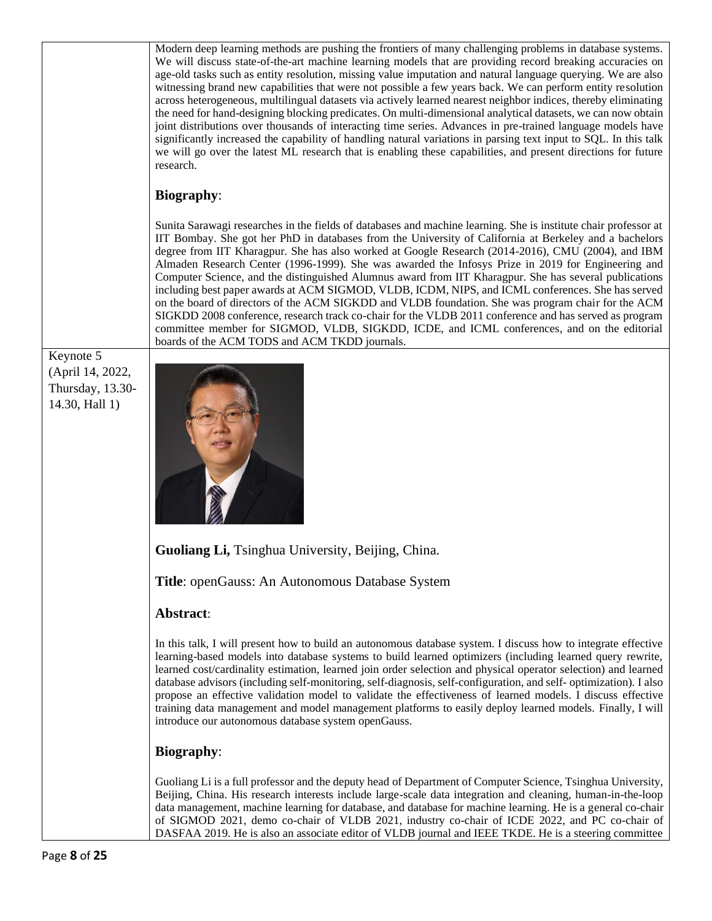|                                                                     | Modern deep learning methods are pushing the frontiers of many challenging problems in database systems.<br>We will discuss state-of-the-art machine learning models that are providing record breaking accuracies on<br>age-old tasks such as entity resolution, missing value imputation and natural language querying. We are also<br>witnessing brand new capabilities that were not possible a few years back. We can perform entity resolution<br>across heterogeneous, multilingual datasets via actively learned nearest neighbor indices, thereby eliminating<br>the need for hand-designing blocking predicates. On multi-dimensional analytical datasets, we can now obtain<br>joint distributions over thousands of interacting time series. Advances in pre-trained language models have<br>significantly increased the capability of handling natural variations in parsing text input to SQL. In this talk<br>we will go over the latest ML research that is enabling these capabilities, and present directions for future<br>research. |
|---------------------------------------------------------------------|---------------------------------------------------------------------------------------------------------------------------------------------------------------------------------------------------------------------------------------------------------------------------------------------------------------------------------------------------------------------------------------------------------------------------------------------------------------------------------------------------------------------------------------------------------------------------------------------------------------------------------------------------------------------------------------------------------------------------------------------------------------------------------------------------------------------------------------------------------------------------------------------------------------------------------------------------------------------------------------------------------------------------------------------------------|
|                                                                     | <b>Biography:</b>                                                                                                                                                                                                                                                                                                                                                                                                                                                                                                                                                                                                                                                                                                                                                                                                                                                                                                                                                                                                                                       |
|                                                                     | Sunita Sarawagi researches in the fields of databases and machine learning. She is institute chair professor at<br>IIT Bombay. She got her PhD in databases from the University of California at Berkeley and a bachelors<br>degree from IIT Kharagpur. She has also worked at Google Research (2014-2016), CMU (2004), and IBM<br>Almaden Research Center (1996-1999). She was awarded the Infosys Prize in 2019 for Engineering and<br>Computer Science, and the distinguished Alumnus award from IIT Kharagpur. She has several publications<br>including best paper awards at ACM SIGMOD, VLDB, ICDM, NIPS, and ICML conferences. She has served<br>on the board of directors of the ACM SIGKDD and VLDB foundation. She was program chair for the ACM<br>SIGKDD 2008 conference, research track co-chair for the VLDB 2011 conference and has served as program<br>committee member for SIGMOD, VLDB, SIGKDD, ICDE, and ICML conferences, and on the editorial<br>boards of the ACM TODS and ACM TKDD journals.                                    |
| Keynote 5<br>(April 14, 2022,<br>Thursday, 13.30-<br>14.30, Hall 1) |                                                                                                                                                                                                                                                                                                                                                                                                                                                                                                                                                                                                                                                                                                                                                                                                                                                                                                                                                                                                                                                         |
|                                                                     | Guoliang Li, Tsinghua University, Beijing, China.                                                                                                                                                                                                                                                                                                                                                                                                                                                                                                                                                                                                                                                                                                                                                                                                                                                                                                                                                                                                       |
|                                                                     | Title: openGauss: An Autonomous Database System                                                                                                                                                                                                                                                                                                                                                                                                                                                                                                                                                                                                                                                                                                                                                                                                                                                                                                                                                                                                         |
|                                                                     | Abstract:                                                                                                                                                                                                                                                                                                                                                                                                                                                                                                                                                                                                                                                                                                                                                                                                                                                                                                                                                                                                                                               |
|                                                                     | In this talk, I will present how to build an autonomous database system. I discuss how to integrate effective<br>learning-based models into database systems to build learned optimizers (including learned query rewrite,<br>learned cost/cardinality estimation, learned join order selection and physical operator selection) and learned<br>database advisors (including self-monitoring, self-diagnosis, self-configuration, and self-optimization). I also<br>propose an effective validation model to validate the effectiveness of learned models. I discuss effective<br>training data management and model management platforms to easily deploy learned models. Finally, I will<br>introduce our autonomous database system openGauss.                                                                                                                                                                                                                                                                                                       |
|                                                                     | <b>Biography:</b>                                                                                                                                                                                                                                                                                                                                                                                                                                                                                                                                                                                                                                                                                                                                                                                                                                                                                                                                                                                                                                       |
|                                                                     | Guoliang Li is a full professor and the deputy head of Department of Computer Science, Tsinghua University,<br>Beijing, China. His research interests include large-scale data integration and cleaning, human-in-the-loop<br>data management, machine learning for database, and database for machine learning. He is a general co-chair<br>of SIGMOD 2021, demo co-chair of VLDB 2021, industry co-chair of ICDE 2022, and PC co-chair of<br>DASFAA 2019. He is also an associate editor of VLDB journal and IEEE TKDE. He is a steering committee                                                                                                                                                                                                                                                                                                                                                                                                                                                                                                    |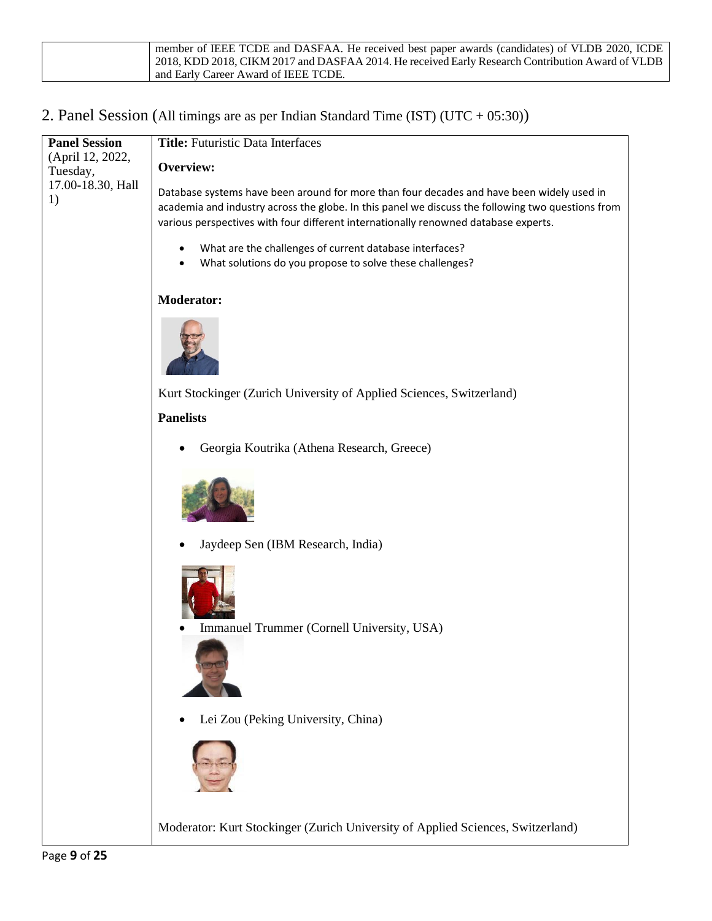| member of IEEE TCDE and DASFAA. He received best paper awards (candidates) of VLDB 2020, ICDE    |
|--------------------------------------------------------------------------------------------------|
| 2018, KDD 2018, CIKM 2017 and DASFAA 2014. He received Early Research Contribution Award of VLDB |
| and Early Career Award of IEEE TCDE.                                                             |

### 2. Panel Session (All timings are as per Indian Standard Time (IST) (UTC + 05:30))

| <b>Panel Session</b>         | <b>Title:</b> Futuristic Data Interfaces                                                                                                                                                                                                                                              |
|------------------------------|---------------------------------------------------------------------------------------------------------------------------------------------------------------------------------------------------------------------------------------------------------------------------------------|
| (April 12, 2022,<br>Tuesday, | Overview:                                                                                                                                                                                                                                                                             |
| 17.00-18.30, Hall<br>1)      | Database systems have been around for more than four decades and have been widely used in<br>academia and industry across the globe. In this panel we discuss the following two questions from<br>various perspectives with four different internationally renowned database experts. |
|                              | What are the challenges of current database interfaces?<br>$\bullet$<br>What solutions do you propose to solve these challenges?                                                                                                                                                      |
|                              | <b>Moderator:</b>                                                                                                                                                                                                                                                                     |
|                              |                                                                                                                                                                                                                                                                                       |
|                              | Kurt Stockinger (Zurich University of Applied Sciences, Switzerland)                                                                                                                                                                                                                  |
|                              | <b>Panelists</b>                                                                                                                                                                                                                                                                      |
|                              | Georgia Koutrika (Athena Research, Greece)                                                                                                                                                                                                                                            |
|                              |                                                                                                                                                                                                                                                                                       |
|                              | Jaydeep Sen (IBM Research, India)                                                                                                                                                                                                                                                     |
|                              | Immanuel Trummer (Cornell University, USA)                                                                                                                                                                                                                                            |
|                              |                                                                                                                                                                                                                                                                                       |
|                              | Lei Zou (Peking University, China)                                                                                                                                                                                                                                                    |
|                              |                                                                                                                                                                                                                                                                                       |
|                              | Moderator: Kurt Stockinger (Zurich University of Applied Sciences, Switzerland)                                                                                                                                                                                                       |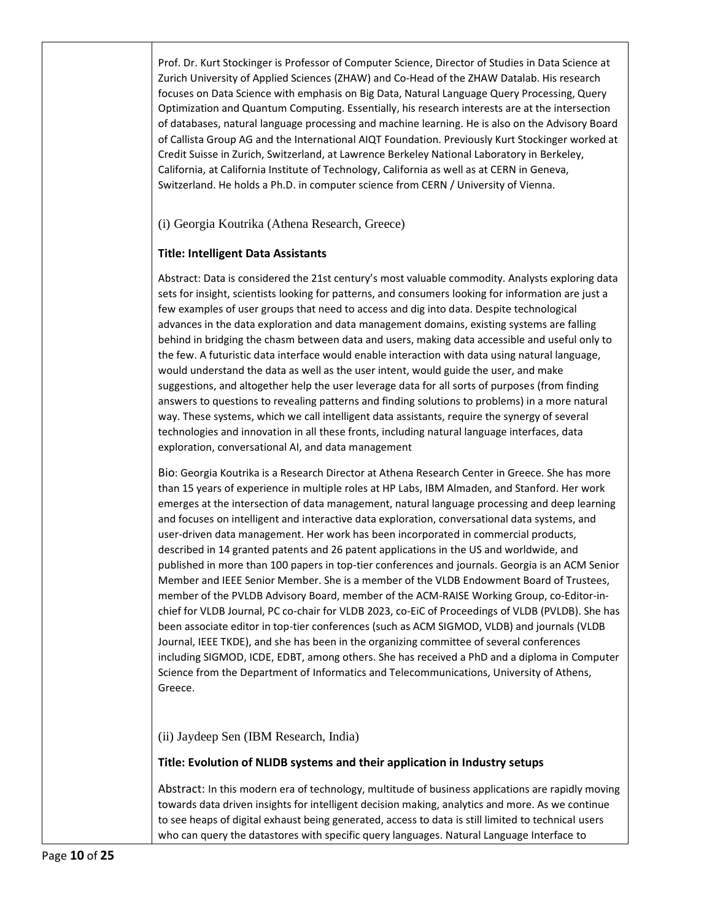Prof. Dr. Kurt Stockinger is Professor of Computer Science, Director of Studies in Data Science at Zurich University of Applied Sciences (ZHAW) and Co-Head of the ZHAW Datalab. His research focuses on Data Science with emphasis on Big Data, Natural Language Query Processing, Query Optimization and Quantum Computing. Essentially, his research interests are at the intersection of databases, natural language processing and machine learning. He is also on the Advisory Board of Callista Group AG and the International AIQT Foundation. Previously Kurt Stockinger worked at Credit Suisse in Zurich, Switzerland, at Lawrence Berkeley National Laboratory in Berkeley, California, at California Institute of Technology, California as well as at CERN in Geneva, Switzerland. He holds a Ph.D. in computer science from CERN / University of Vienna.

(i) Georgia Koutrika (Athena Research, Greece)

#### **Title: Intelligent Data Assistants**

Abstract: Data is considered the 21st century's most valuable commodity. Analysts exploring data sets for insight, scientists looking for patterns, and consumers looking for information are just a few examples of user groups that need to access and dig into data. Despite technological advances in the data exploration and data management domains, existing systems are falling behind in bridging the chasm between data and users, making data accessible and useful only to the few. A futuristic data interface would enable interaction with data using natural language, would understand the data as well as the user intent, would guide the user, and make suggestions, and altogether help the user leverage data for all sorts of purposes (from finding answers to questions to revealing patterns and finding solutions to problems) in a more natural way. These systems, which we call intelligent data assistants, require the synergy of several technologies and innovation in all these fronts, including natural language interfaces, data exploration, conversational AI, and data management

Bio: Georgia Koutrika is a Research Director at Athena Research Center in Greece. She has more than 15 years of experience in multiple roles at HP Labs, IBM Almaden, and Stanford. Her work emerges at the intersection of data management, natural language processing and deep learning and focuses on intelligent and interactive data exploration, conversational data systems, and user-driven data management. Her work has been incorporated in commercial products, described in 14 granted patents and 26 patent applications in the US and worldwide, and published in more than 100 papers in top-tier conferences and journals. Georgia is an ACM Senior Member and IEEE Senior Member. She is a member of the VLDB Endowment Board of Trustees, member of the PVLDB Advisory Board, member of the ACM-RAISE Working Group, co-Editor-inchief for VLDB Journal, PC co-chair for VLDB 2023, co-EiC of Proceedings of VLDB (PVLDB). She has been associate editor in top-tier conferences (such as ACM SIGMOD, VLDB) and journals (VLDB Journal, IEEE TKDE), and she has been in the organizing committee of several conferences including SIGMOD, ICDE, EDBT, among others. She has received a PhD and a diploma in Computer Science from the Department of Informatics and Telecommunications, University of Athens, Greece.

(ii) Jaydeep Sen (IBM Research, India)

#### **Title: Evolution of NLIDB systems and their application in Industry setups**

Abstract: In this modern era of technology, multitude of business applications are rapidly moving towards data driven insights for intelligent decision making, analytics and more. As we continue to see heaps of digital exhaust being generated, access to data is still limited to technical users who can query the datastores with specific query languages. Natural Language Interface to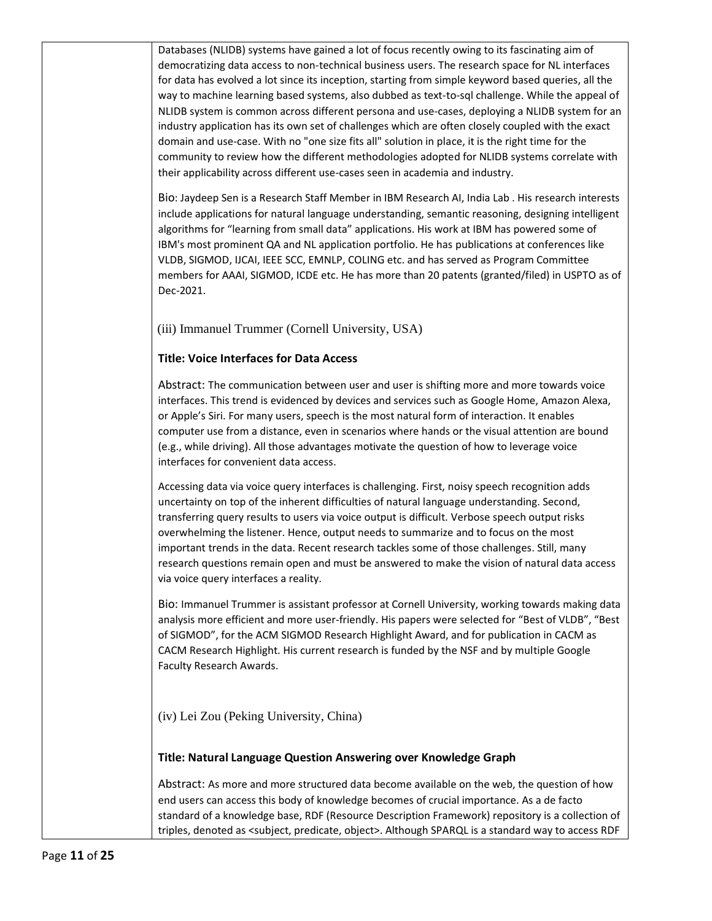Databases (NLIDB) systems have gained a lot of focus recently owing to its fascinating aim of democratizing data access to non-technical business users. The research space for NL interfaces for data has evolved a lot since its inception, starting from simple keyword based queries, all the way to machine learning based systems, also dubbed as text-to-sql challenge. While the appeal of NLIDB system is common across different persona and use-cases, deploying a NLIDB system for an industry application has its own set of challenges which are often closely coupled with the exact domain and use-case. With no "one size fits all" solution in place, it is the right time for the community to review how the different methodologies adopted for NLIDB systems correlate with their applicability across different use-cases seen in academia and industry.

Bio: Jaydeep Sen is a Research Staff Member in IBM Research AI, India Lab . His research interests include applications for natural language understanding, semantic reasoning, designing intelligent algorithms for "learning from small data" applications. His work at IBM has powered some of IBM's most prominent QA and NL application portfolio. He has publications at conferences like VLDB, SIGMOD, IJCAI, IEEE SCC, EMNLP, COLING etc. and has served as Program Committee members for AAAI, SIGMOD, ICDE etc. He has more than 20 patents (granted/filed) in USPTO as of Dec-2021.

(iii) Immanuel Trummer (Cornell University, USA)

#### **Title: Voice Interfaces for Data Access**

Abstract: The communication between user and user is shifting more and more towards voice interfaces. This trend is evidenced by devices and services such as Google Home, Amazon Alexa, or Apple's Siri. For many users, speech is the most natural form of interaction. It enables computer use from a distance, even in scenarios where hands or the visual attention are bound (e.g., while driving). All those advantages motivate the question of how to leverage voice interfaces for convenient data access.

Accessing data via voice query interfaces is challenging. First, noisy speech recognition adds uncertainty on top of the inherent difficulties of natural language understanding. Second, transferring query results to users via voice output is difficult. Verbose speech output risks overwhelming the listener. Hence, output needs to summarize and to focus on the most important trends in the data. Recent research tackles some of those challenges. Still, many research questions remain open and must be answered to make the vision of natural data access via voice query interfaces a reality.

Bio: Immanuel Trummer is assistant professor at Cornell University, working towards making data analysis more efficient and more user-friendly. His papers were selected for "Best of VLDB", "Best of SIGMOD", for the ACM SIGMOD Research Highlight Award, and for publication in CACM as CACM Research Highlight. His current research is funded by the NSF and by multiple Google Faculty Research Awards.

(iv) Lei Zou (Peking University, China)

#### **Title: Natural Language Question Answering over Knowledge Graph**

Abstract: As more and more structured data become available on the web, the question of how end users can access this body of knowledge becomes of crucial importance. As a de facto standard of a knowledge base, RDF (Resource Description Framework) repository is a collection of triples, denoted as <subject, predicate, object>. Although SPARQL is a standard way to access RDF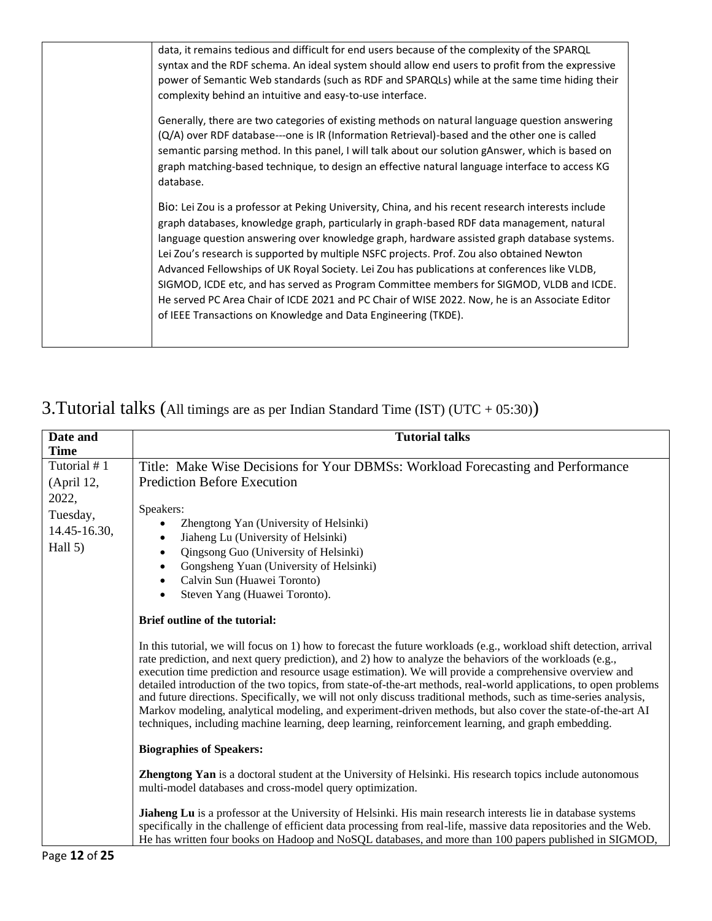| data, it remains tedious and difficult for end users because of the complexity of the SPARQL                                                                                                                                                                                                                                                                                                                                                                                                                                                                                                                                                                                                                                                                 |
|--------------------------------------------------------------------------------------------------------------------------------------------------------------------------------------------------------------------------------------------------------------------------------------------------------------------------------------------------------------------------------------------------------------------------------------------------------------------------------------------------------------------------------------------------------------------------------------------------------------------------------------------------------------------------------------------------------------------------------------------------------------|
| syntax and the RDF schema. An ideal system should allow end users to profit from the expressive                                                                                                                                                                                                                                                                                                                                                                                                                                                                                                                                                                                                                                                              |
| power of Semantic Web standards (such as RDF and SPARQLs) while at the same time hiding their                                                                                                                                                                                                                                                                                                                                                                                                                                                                                                                                                                                                                                                                |
| complexity behind an intuitive and easy-to-use interface.                                                                                                                                                                                                                                                                                                                                                                                                                                                                                                                                                                                                                                                                                                    |
| Generally, there are two categories of existing methods on natural language question answering<br>(Q/A) over RDF database---one is IR (Information Retrieval)-based and the other one is called<br>semantic parsing method. In this panel, I will talk about our solution gAnswer, which is based on<br>graph matching-based technique, to design an effective natural language interface to access KG<br>database.                                                                                                                                                                                                                                                                                                                                          |
| Bio: Lei Zou is a professor at Peking University, China, and his recent research interests include<br>graph databases, knowledge graph, particularly in graph-based RDF data management, natural<br>language question answering over knowledge graph, hardware assisted graph database systems.<br>Lei Zou's research is supported by multiple NSFC projects. Prof. Zou also obtained Newton<br>Advanced Fellowships of UK Royal Society. Lei Zou has publications at conferences like VLDB,<br>SIGMOD, ICDE etc, and has served as Program Committee members for SIGMOD, VLDB and ICDE.<br>He served PC Area Chair of ICDE 2021 and PC Chair of WISE 2022. Now, he is an Associate Editor<br>of IEEE Transactions on Knowledge and Data Engineering (TKDE). |

## 3.Tutorial talks (All timings are as per Indian Standard Time (IST) (UTC + 05:30))

| Date and<br><b>Time</b>                                                     | <b>Tutorial talks</b>                                                                                                                                                                                                                                                                                                                                                                                                                                                                                                                                                                                                                                                                                                                                                                                                                                                                                                                                                                                                                                                                                                                                                                                                                                                                                                                                                                                                                                                                                                                                                                                                                                                                                                                                 |
|-----------------------------------------------------------------------------|-------------------------------------------------------------------------------------------------------------------------------------------------------------------------------------------------------------------------------------------------------------------------------------------------------------------------------------------------------------------------------------------------------------------------------------------------------------------------------------------------------------------------------------------------------------------------------------------------------------------------------------------------------------------------------------------------------------------------------------------------------------------------------------------------------------------------------------------------------------------------------------------------------------------------------------------------------------------------------------------------------------------------------------------------------------------------------------------------------------------------------------------------------------------------------------------------------------------------------------------------------------------------------------------------------------------------------------------------------------------------------------------------------------------------------------------------------------------------------------------------------------------------------------------------------------------------------------------------------------------------------------------------------------------------------------------------------------------------------------------------------|
| Tutorial #1<br>(April 12,<br>2022,<br>Tuesday,<br>14.45-16.30,<br>Hall $5)$ | Title: Make Wise Decisions for Your DBMSs: Workload Forecasting and Performance<br><b>Prediction Before Execution</b><br>Speakers:<br>Zhengtong Yan (University of Helsinki)<br>$\bullet$<br>Jiaheng Lu (University of Helsinki)<br>$\bullet$<br>Qingsong Guo (University of Helsinki)<br>$\bullet$<br>Gongsheng Yuan (University of Helsinki)<br>$\bullet$<br>Calvin Sun (Huawei Toronto)<br>$\bullet$<br>Steven Yang (Huawei Toronto).<br>$\bullet$<br>Brief outline of the tutorial:<br>In this tutorial, we will focus on 1) how to forecast the future workloads (e.g., workload shift detection, arrival<br>rate prediction, and next query prediction), and 2) how to analyze the behaviors of the workloads (e.g.,<br>execution time prediction and resource usage estimation). We will provide a comprehensive overview and<br>detailed introduction of the two topics, from state-of-the-art methods, real-world applications, to open problems<br>and future directions. Specifically, we will not only discuss traditional methods, such as time-series analysis,<br>Markov modeling, analytical modeling, and experiment-driven methods, but also cover the state-of-the-art AI<br>techniques, including machine learning, deep learning, reinforcement learning, and graph embedding.<br><b>Biographies of Speakers:</b><br>Zhengtong Yan is a doctoral student at the University of Helsinki. His research topics include autonomous<br>multi-model databases and cross-model query optimization.<br>Jiaheng Lu is a professor at the University of Helsinki. His main research interests lie in database systems<br>specifically in the challenge of efficient data processing from real-life, massive data repositories and the Web. |
|                                                                             | He has written four books on Hadoop and NoSQL databases, and more than 100 papers published in SIGMOD,                                                                                                                                                                                                                                                                                                                                                                                                                                                                                                                                                                                                                                                                                                                                                                                                                                                                                                                                                                                                                                                                                                                                                                                                                                                                                                                                                                                                                                                                                                                                                                                                                                                |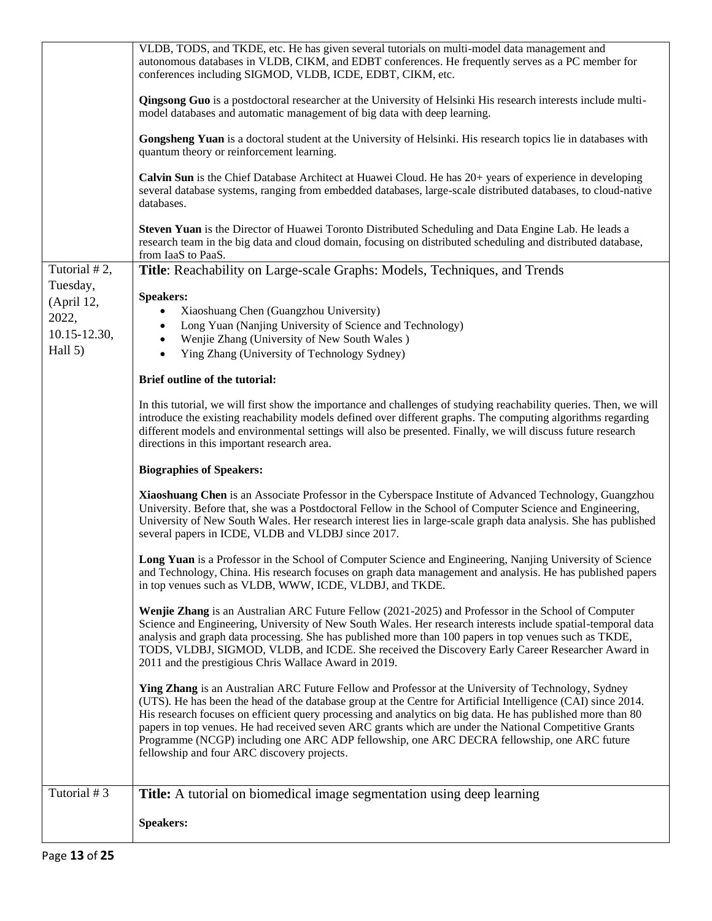|                        | VLDB, TODS, and TKDE, etc. He has given several tutorials on multi-model data management and<br>autonomous databases in VLDB, CIKM, and EDBT conferences. He frequently serves as a PC member for<br>conferences including SIGMOD, VLDB, ICDE, EDBT, CIKM, etc.                                                                                                                                                                                                                                                                                                                             |
|------------------------|---------------------------------------------------------------------------------------------------------------------------------------------------------------------------------------------------------------------------------------------------------------------------------------------------------------------------------------------------------------------------------------------------------------------------------------------------------------------------------------------------------------------------------------------------------------------------------------------|
|                        | <b>Qingsong Guo</b> is a postdoctoral researcher at the University of Helsinki His research interests include multi-<br>model databases and automatic management of big data with deep learning.                                                                                                                                                                                                                                                                                                                                                                                            |
|                        | Gongsheng Yuan is a doctoral student at the University of Helsinki. His research topics lie in databases with<br>quantum theory or reinforcement learning.                                                                                                                                                                                                                                                                                                                                                                                                                                  |
|                        | Calvin Sun is the Chief Database Architect at Huawei Cloud. He has 20+ years of experience in developing<br>several database systems, ranging from embedded databases, large-scale distributed databases, to cloud-native<br>databases.                                                                                                                                                                                                                                                                                                                                                     |
|                        | Steven Yuan is the Director of Huawei Toronto Distributed Scheduling and Data Engine Lab. He leads a<br>research team in the big data and cloud domain, focusing on distributed scheduling and distributed database,<br>from IaaS to PaaS.                                                                                                                                                                                                                                                                                                                                                  |
| Tutorial #2,           | Title: Reachability on Large-scale Graphs: Models, Techniques, and Trends                                                                                                                                                                                                                                                                                                                                                                                                                                                                                                                   |
| Tuesday,<br>(April 12, | <b>Speakers:</b>                                                                                                                                                                                                                                                                                                                                                                                                                                                                                                                                                                            |
| 2022,                  | Xiaoshuang Chen (Guangzhou University)                                                                                                                                                                                                                                                                                                                                                                                                                                                                                                                                                      |
| 10.15-12.30,           | Long Yuan (Nanjing University of Science and Technology)<br>٠<br>Wenjie Zhang (University of New South Wales)<br>$\bullet$                                                                                                                                                                                                                                                                                                                                                                                                                                                                  |
| Hall 5)                | Ying Zhang (University of Technology Sydney)<br>$\bullet$                                                                                                                                                                                                                                                                                                                                                                                                                                                                                                                                   |
|                        | Brief outline of the tutorial:                                                                                                                                                                                                                                                                                                                                                                                                                                                                                                                                                              |
|                        | In this tutorial, we will first show the importance and challenges of studying reachability queries. Then, we will<br>introduce the existing reachability models defined over different graphs. The computing algorithms regarding<br>different models and environmental settings will also be presented. Finally, we will discuss future research<br>directions in this important research area.                                                                                                                                                                                           |
|                        | <b>Biographies of Speakers:</b>                                                                                                                                                                                                                                                                                                                                                                                                                                                                                                                                                             |
|                        | Xiaoshuang Chen is an Associate Professor in the Cyberspace Institute of Advanced Technology, Guangzhou<br>University. Before that, she was a Postdoctoral Fellow in the School of Computer Science and Engineering,<br>University of New South Wales. Her research interest lies in large-scale graph data analysis. She has published<br>several papers in ICDE, VLDB and VLDBJ since 2017.                                                                                                                                                                                               |
|                        | Long Yuan is a Professor in the School of Computer Science and Engineering, Nanjing University of Science<br>and Technology, China. His research focuses on graph data management and analysis. He has published papers<br>in top venues such as VLDB, WWW, ICDE, VLDBJ, and TKDE.                                                                                                                                                                                                                                                                                                          |
|                        | Wenjie Zhang is an Australian ARC Future Fellow (2021-2025) and Professor in the School of Computer<br>Science and Engineering, University of New South Wales. Her research interests include spatial-temporal data<br>analysis and graph data processing. She has published more than 100 papers in top venues such as TKDE,<br>TODS, VLDBJ, SIGMOD, VLDB, and ICDE. She received the Discovery Early Career Researcher Award in<br>2011 and the prestigious Chris Wallace Award in 2019.                                                                                                  |
|                        | Ying Zhang is an Australian ARC Future Fellow and Professor at the University of Technology, Sydney<br>(UTS). He has been the head of the database group at the Centre for Artificial Intelligence (CAI) since 2014.<br>His research focuses on efficient query processing and analytics on big data. He has published more than 80<br>papers in top venues. He had received seven ARC grants which are under the National Competitive Grants<br>Programme (NCGP) including one ARC ADP fellowship, one ARC DECRA fellowship, one ARC future<br>fellowship and four ARC discovery projects. |
| Tutorial #3            | <b>Title:</b> A tutorial on biomedical image segmentation using deep learning                                                                                                                                                                                                                                                                                                                                                                                                                                                                                                               |
|                        | <b>Speakers:</b>                                                                                                                                                                                                                                                                                                                                                                                                                                                                                                                                                                            |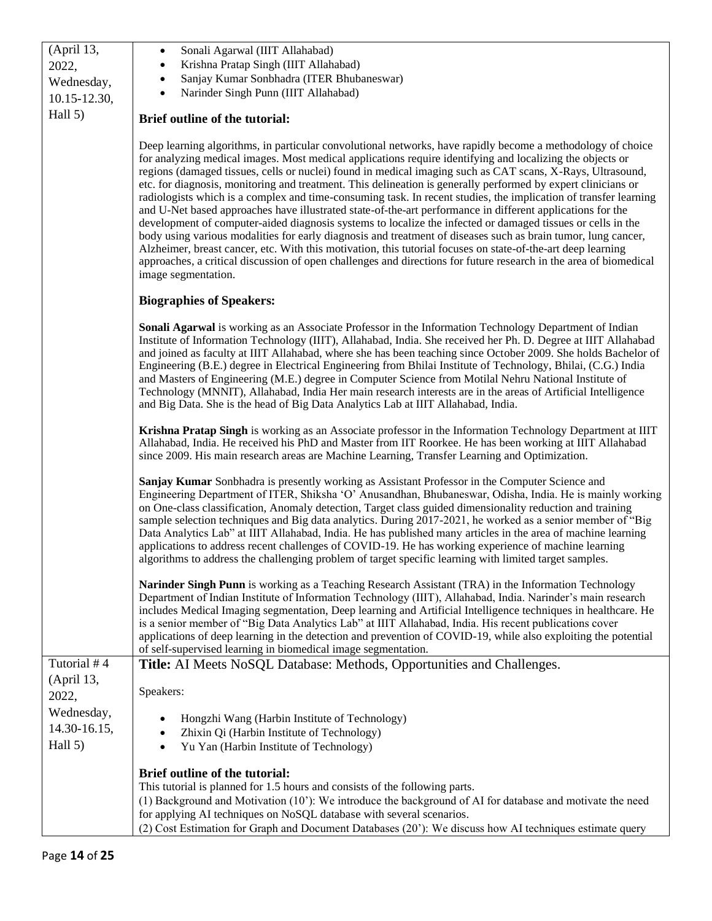| (April 13,   | Sonali Agarwal (IIIT Allahabad)<br>٠                                                                                                                                                                                                                                                                                                                                                                                                                                                                                                                                                                                                                                                                                                                                                                                                                                                                                                                                                                                                                                                                                                                                                  |  |  |  |  |  |
|--------------|---------------------------------------------------------------------------------------------------------------------------------------------------------------------------------------------------------------------------------------------------------------------------------------------------------------------------------------------------------------------------------------------------------------------------------------------------------------------------------------------------------------------------------------------------------------------------------------------------------------------------------------------------------------------------------------------------------------------------------------------------------------------------------------------------------------------------------------------------------------------------------------------------------------------------------------------------------------------------------------------------------------------------------------------------------------------------------------------------------------------------------------------------------------------------------------|--|--|--|--|--|
| 2022,        | Krishna Pratap Singh (IIIT Allahabad)                                                                                                                                                                                                                                                                                                                                                                                                                                                                                                                                                                                                                                                                                                                                                                                                                                                                                                                                                                                                                                                                                                                                                 |  |  |  |  |  |
| Wednesday,   | Sanjay Kumar Sonbhadra (ITER Bhubaneswar)                                                                                                                                                                                                                                                                                                                                                                                                                                                                                                                                                                                                                                                                                                                                                                                                                                                                                                                                                                                                                                                                                                                                             |  |  |  |  |  |
| 10.15-12.30, | Narinder Singh Punn (IIIT Allahabad)                                                                                                                                                                                                                                                                                                                                                                                                                                                                                                                                                                                                                                                                                                                                                                                                                                                                                                                                                                                                                                                                                                                                                  |  |  |  |  |  |
| Hall 5)      | Brief outline of the tutorial:                                                                                                                                                                                                                                                                                                                                                                                                                                                                                                                                                                                                                                                                                                                                                                                                                                                                                                                                                                                                                                                                                                                                                        |  |  |  |  |  |
|              | Deep learning algorithms, in particular convolutional networks, have rapidly become a methodology of choice<br>for analyzing medical images. Most medical applications require identifying and localizing the objects or<br>regions (damaged tissues, cells or nuclei) found in medical imaging such as CAT scans, X-Rays, Ultrasound,<br>etc. for diagnosis, monitoring and treatment. This delineation is generally performed by expert clinicians or<br>radiologists which is a complex and time-consuming task. In recent studies, the implication of transfer learning<br>and U-Net based approaches have illustrated state-of-the-art performance in different applications for the<br>development of computer-aided diagnosis systems to localize the infected or damaged tissues or cells in the<br>body using various modalities for early diagnosis and treatment of diseases such as brain tumor, lung cancer,<br>Alzheimer, breast cancer, etc. With this motivation, this tutorial focuses on state-of-the-art deep learning<br>approaches, a critical discussion of open challenges and directions for future research in the area of biomedical<br>image segmentation. |  |  |  |  |  |
|              | <b>Biographies of Speakers:</b>                                                                                                                                                                                                                                                                                                                                                                                                                                                                                                                                                                                                                                                                                                                                                                                                                                                                                                                                                                                                                                                                                                                                                       |  |  |  |  |  |
|              | Sonali Agarwal is working as an Associate Professor in the Information Technology Department of Indian<br>Institute of Information Technology (IIIT), Allahabad, India. She received her Ph. D. Degree at IIIT Allahabad<br>and joined as faculty at IIIT Allahabad, where she has been teaching since October 2009. She holds Bachelor of<br>Engineering (B.E.) degree in Electrical Engineering from Bhilai Institute of Technology, Bhilai, (C.G.) India<br>and Masters of Engineering (M.E.) degree in Computer Science from Motilal Nehru National Institute of<br>Technology (MNNIT), Allahabad, India Her main research interests are in the areas of Artificial Intelligence<br>and Big Data. She is the head of Big Data Analytics Lab at IIIT Allahabad, India.                                                                                                                                                                                                                                                                                                                                                                                                             |  |  |  |  |  |
|              | Krishna Pratap Singh is working as an Associate professor in the Information Technology Department at IIIT<br>Allahabad, India. He received his PhD and Master from IIT Roorkee. He has been working at IIIT Allahabad<br>since 2009. His main research areas are Machine Learning, Transfer Learning and Optimization.                                                                                                                                                                                                                                                                                                                                                                                                                                                                                                                                                                                                                                                                                                                                                                                                                                                               |  |  |  |  |  |
|              | Sanjay Kumar Sonbhadra is presently working as Assistant Professor in the Computer Science and<br>Engineering Department of ITER, Shiksha 'O' Anusandhan, Bhubaneswar, Odisha, India. He is mainly working<br>on One-class classification, Anomaly detection, Target class guided dimensionality reduction and training<br>sample selection techniques and Big data analytics. During 2017-2021, he worked as a senior member of "Big<br>Data Analytics Lab" at IIIT Allahabad, India. He has published many articles in the area of machine learning<br>applications to address recent challenges of COVID-19. He has working experience of machine learning<br>algorithms to address the challenging problem of target specific learning with limited target samples.                                                                                                                                                                                                                                                                                                                                                                                                               |  |  |  |  |  |
|              | Narinder Singh Punn is working as a Teaching Research Assistant (TRA) in the Information Technology<br>Department of Indian Institute of Information Technology (IIIT), Allahabad, India. Narinder's main research<br>includes Medical Imaging segmentation, Deep learning and Artificial Intelligence techniques in healthcare. He<br>is a senior member of "Big Data Analytics Lab" at IIIT Allahabad, India. His recent publications cover<br>applications of deep learning in the detection and prevention of COVID-19, while also exploiting the potential<br>of self-supervised learning in biomedical image segmentation.                                                                                                                                                                                                                                                                                                                                                                                                                                                                                                                                                      |  |  |  |  |  |
| Tutorial #4  | Title: AI Meets NoSQL Database: Methods, Opportunities and Challenges.                                                                                                                                                                                                                                                                                                                                                                                                                                                                                                                                                                                                                                                                                                                                                                                                                                                                                                                                                                                                                                                                                                                |  |  |  |  |  |
| (April 13,   |                                                                                                                                                                                                                                                                                                                                                                                                                                                                                                                                                                                                                                                                                                                                                                                                                                                                                                                                                                                                                                                                                                                                                                                       |  |  |  |  |  |
| 2022,        | Speakers:                                                                                                                                                                                                                                                                                                                                                                                                                                                                                                                                                                                                                                                                                                                                                                                                                                                                                                                                                                                                                                                                                                                                                                             |  |  |  |  |  |
| Wednesday,   |                                                                                                                                                                                                                                                                                                                                                                                                                                                                                                                                                                                                                                                                                                                                                                                                                                                                                                                                                                                                                                                                                                                                                                                       |  |  |  |  |  |
| 14.30-16.15, | Hongzhi Wang (Harbin Institute of Technology)<br>$\bullet$<br>Zhixin Qi (Harbin Institute of Technology)<br>$\bullet$                                                                                                                                                                                                                                                                                                                                                                                                                                                                                                                                                                                                                                                                                                                                                                                                                                                                                                                                                                                                                                                                 |  |  |  |  |  |
| Hall 5)      | Yu Yan (Harbin Institute of Technology)<br>$\bullet$                                                                                                                                                                                                                                                                                                                                                                                                                                                                                                                                                                                                                                                                                                                                                                                                                                                                                                                                                                                                                                                                                                                                  |  |  |  |  |  |
|              |                                                                                                                                                                                                                                                                                                                                                                                                                                                                                                                                                                                                                                                                                                                                                                                                                                                                                                                                                                                                                                                                                                                                                                                       |  |  |  |  |  |
|              | Brief outline of the tutorial:                                                                                                                                                                                                                                                                                                                                                                                                                                                                                                                                                                                                                                                                                                                                                                                                                                                                                                                                                                                                                                                                                                                                                        |  |  |  |  |  |
|              | This tutorial is planned for 1.5 hours and consists of the following parts.                                                                                                                                                                                                                                                                                                                                                                                                                                                                                                                                                                                                                                                                                                                                                                                                                                                                                                                                                                                                                                                                                                           |  |  |  |  |  |
|              | (1) Background and Motivation (10'): We introduce the background of AI for database and motivate the need                                                                                                                                                                                                                                                                                                                                                                                                                                                                                                                                                                                                                                                                                                                                                                                                                                                                                                                                                                                                                                                                             |  |  |  |  |  |
|              | for applying AI techniques on NoSQL database with several scenarios.                                                                                                                                                                                                                                                                                                                                                                                                                                                                                                                                                                                                                                                                                                                                                                                                                                                                                                                                                                                                                                                                                                                  |  |  |  |  |  |
|              | (2) Cost Estimation for Graph and Document Databases (20'): We discuss how AI techniques estimate query                                                                                                                                                                                                                                                                                                                                                                                                                                                                                                                                                                                                                                                                                                                                                                                                                                                                                                                                                                                                                                                                               |  |  |  |  |  |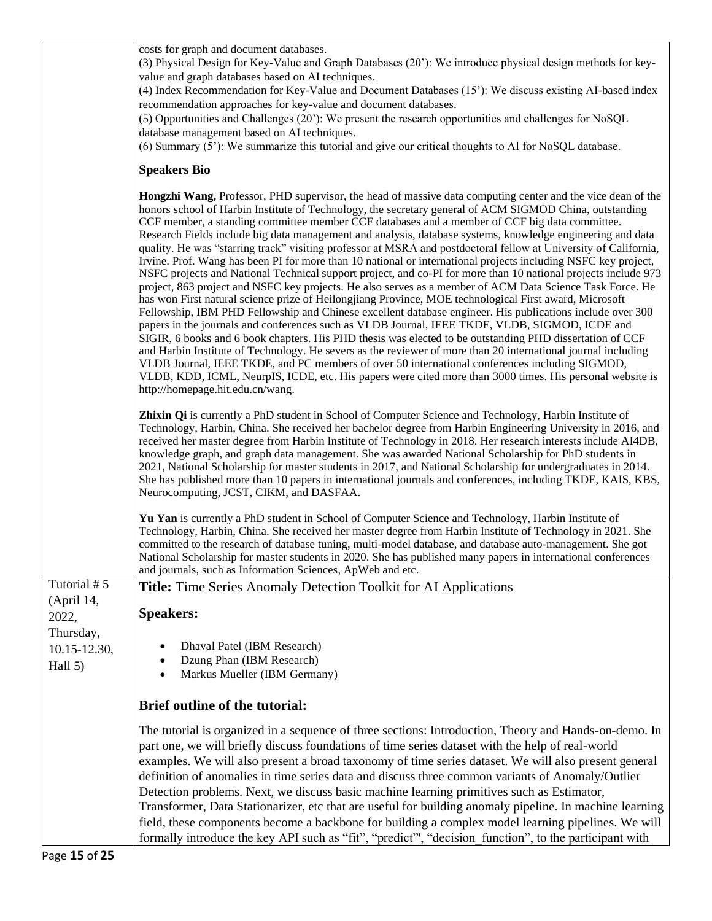costs for graph and document databases.

(3) Physical Design for Key-Value and Graph Databases (20'): We introduce physical design methods for keyvalue and graph databases based on AI techniques.

(4) Index Recommendation for Key-Value and Document Databases (15'): We discuss existing AI-based index recommendation approaches for key-value and document databases.

(5) Opportunities and Challenges (20'): We present the research opportunities and challenges for NoSQL database management based on AI techniques.

(6) Summary (5'): We summarize this tutorial and give our critical thoughts to AI for NoSQL database.

#### **Speakers Bio**

**Hongzhi Wang,** Professor, PHD supervisor, the head of massive data computing center and the vice dean of the honors school of Harbin Institute of Technology, the secretary general of ACM SIGMOD China, outstanding CCF member, a standing committee member CCF databases and a member of CCF big data committee. Research Fields include big data management and analysis, database systems, knowledge engineering and data quality. He was "starring track" visiting professor at MSRA and postdoctoral fellow at University of California, Irvine. Prof. Wang has been PI for more than 10 national or international projects including NSFC key project, NSFC projects and National Technical support project, and co-PI for more than 10 national projects include 973 project, 863 project and NSFC key projects. He also serves as a member of ACM Data Science Task Force. He has won First natural science prize of Heilongjiang Province, MOE technological First award, Microsoft Fellowship, IBM PHD Fellowship and Chinese excellent database engineer. His publications include over 300 papers in the journals and conferences such as VLDB Journal, IEEE TKDE, VLDB, SIGMOD, ICDE and SIGIR, 6 books and 6 book chapters. His PHD thesis was elected to be outstanding PHD dissertation of CCF and Harbin Institute of Technology. He severs as the reviewer of more than 20 international journal including VLDB Journal, IEEE TKDE, and PC members of over 50 international conferences including SIGMOD, VLDB, KDD, ICML, NeurpIS, ICDE, etc. His papers were cited more than 3000 times. His personal website is http://homepage.hit.edu.cn/wang.

**Zhixin Qi** is currently a PhD student in School of Computer Science and Technology, Harbin Institute of Technology, Harbin, China. She received her bachelor degree from Harbin Engineering University in 2016, and received her master degree from Harbin Institute of Technology in 2018. Her research interests include AI4DB, knowledge graph, and graph data management. She was awarded National Scholarship for PhD students in 2021, National Scholarship for master students in 2017, and National Scholarship for undergraduates in 2014. She has published more than 10 papers in international journals and conferences, including TKDE, KAIS, KBS, Neurocomputing, JCST, CIKM, and DASFAA.

**Yu Yan** is currently a PhD student in School of Computer Science and Technology, Harbin Institute of Technology, Harbin, China. She received her master degree from Harbin Institute of Technology in 2021. She committed to the research of database tuning, multi-model database, and database auto-management. She got National Scholarship for master students in 2020. She has published many papers in international conferences and journals, such as Information Sciences, ApWeb and etc.

| Tutorial #5       | <b>Title:</b> Time Series Anomaly Detection Toolkit for AI Applications                                                                                                                                                                                                                                                                                                                                                                                                                                                                                                                                                                                                                                                                                                                                                                      |  |  |  |
|-------------------|----------------------------------------------------------------------------------------------------------------------------------------------------------------------------------------------------------------------------------------------------------------------------------------------------------------------------------------------------------------------------------------------------------------------------------------------------------------------------------------------------------------------------------------------------------------------------------------------------------------------------------------------------------------------------------------------------------------------------------------------------------------------------------------------------------------------------------------------|--|--|--|
| (April 14,        |                                                                                                                                                                                                                                                                                                                                                                                                                                                                                                                                                                                                                                                                                                                                                                                                                                              |  |  |  |
| 2022,             | <b>Speakers:</b>                                                                                                                                                                                                                                                                                                                                                                                                                                                                                                                                                                                                                                                                                                                                                                                                                             |  |  |  |
| Thursday,         |                                                                                                                                                                                                                                                                                                                                                                                                                                                                                                                                                                                                                                                                                                                                                                                                                                              |  |  |  |
| $10.15 - 12.30$ , | Dhaval Patel (IBM Research)                                                                                                                                                                                                                                                                                                                                                                                                                                                                                                                                                                                                                                                                                                                                                                                                                  |  |  |  |
| Hall $5)$         | Dzung Phan (IBM Research)                                                                                                                                                                                                                                                                                                                                                                                                                                                                                                                                                                                                                                                                                                                                                                                                                    |  |  |  |
|                   | Markus Mueller (IBM Germany)<br>$\bullet$                                                                                                                                                                                                                                                                                                                                                                                                                                                                                                                                                                                                                                                                                                                                                                                                    |  |  |  |
|                   | <b>Brief outline of the tutorial:</b>                                                                                                                                                                                                                                                                                                                                                                                                                                                                                                                                                                                                                                                                                                                                                                                                        |  |  |  |
|                   | The tutorial is organized in a sequence of three sections: Introduction, Theory and Hands-on-demo. In<br>part one, we will briefly discuss foundations of time series dataset with the help of real-world<br>examples. We will also present a broad taxonomy of time series dataset. We will also present general<br>definition of anomalies in time series data and discuss three common variants of Anomaly/Outlier<br>Detection problems. Next, we discuss basic machine learning primitives such as Estimator,<br>Transformer, Data Stationarizer, etc that are useful for building anomaly pipeline. In machine learning<br>field, these components become a backbone for building a complex model learning pipelines. We will<br>formally introduce the key API such as "fit", "predict", "decision function", to the participant with |  |  |  |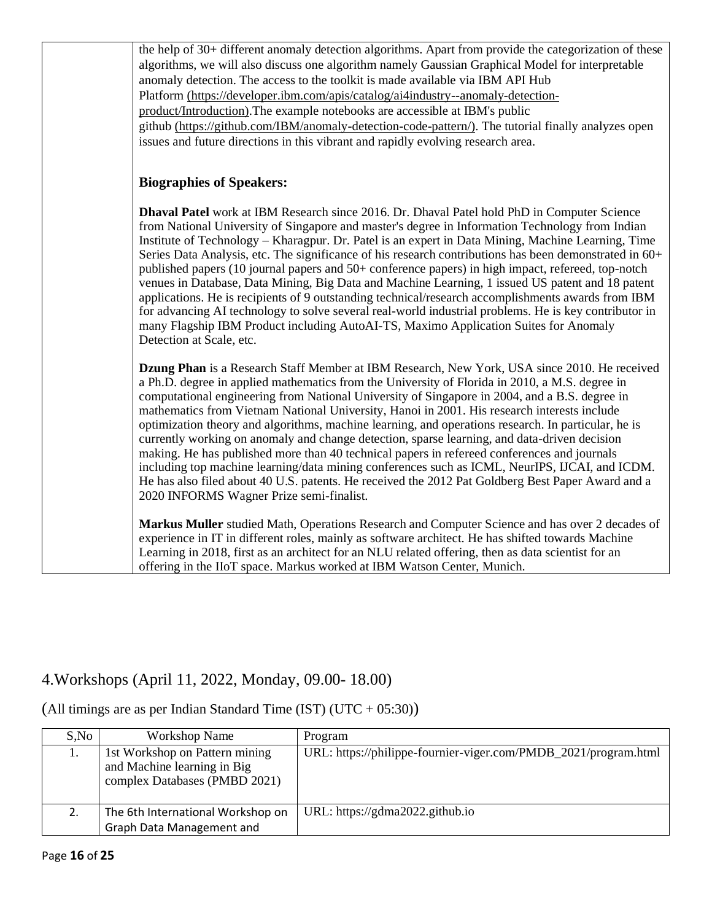| the help of 30+ different anomaly detection algorithms. Apart from provide the categorization of these<br>algorithms, we will also discuss one algorithm namely Gaussian Graphical Model for interpretable<br>anomaly detection. The access to the toolkit is made available via IBM API Hub<br>Platform (https://developer.ibm.com/apis/catalog/ai4industry--anomaly-detection-<br>product/Introduction). The example notebooks are accessible at IBM's public<br>github (https://github.com/IBM/anomaly-detection-code-pattern/). The tutorial finally analyzes open                                                                                                                                                                                                                                                                                                                                                                                      |
|-------------------------------------------------------------------------------------------------------------------------------------------------------------------------------------------------------------------------------------------------------------------------------------------------------------------------------------------------------------------------------------------------------------------------------------------------------------------------------------------------------------------------------------------------------------------------------------------------------------------------------------------------------------------------------------------------------------------------------------------------------------------------------------------------------------------------------------------------------------------------------------------------------------------------------------------------------------|
| issues and future directions in this vibrant and rapidly evolving research area.<br><b>Biographies of Speakers:</b>                                                                                                                                                                                                                                                                                                                                                                                                                                                                                                                                                                                                                                                                                                                                                                                                                                         |
| Dhaval Patel work at IBM Research since 2016. Dr. Dhaval Patel hold PhD in Computer Science<br>from National University of Singapore and master's degree in Information Technology from Indian<br>Institute of Technology – Kharagpur. Dr. Patel is an expert in Data Mining, Machine Learning, Time<br>Series Data Analysis, etc. The significance of his research contributions has been demonstrated in 60+<br>published papers (10 journal papers and 50+ conference papers) in high impact, refereed, top-notch<br>venues in Database, Data Mining, Big Data and Machine Learning, 1 issued US patent and 18 patent<br>applications. He is recipients of 9 outstanding technical/research accomplishments awards from IBM<br>for advancing AI technology to solve several real-world industrial problems. He is key contributor in<br>many Flagship IBM Product including AutoAI-TS, Maximo Application Suites for Anomaly<br>Detection at Scale, etc. |
| Dzung Phan is a Research Staff Member at IBM Research, New York, USA since 2010. He received<br>a Ph.D. degree in applied mathematics from the University of Florida in 2010, a M.S. degree in<br>computational engineering from National University of Singapore in 2004, and a B.S. degree in<br>mathematics from Vietnam National University, Hanoi in 2001. His research interests include<br>optimization theory and algorithms, machine learning, and operations research. In particular, he is<br>currently working on anomaly and change detection, sparse learning, and data-driven decision<br>making. He has published more than 40 technical papers in refereed conferences and journals<br>including top machine learning/data mining conferences such as ICML, NeurIPS, IJCAI, and ICDM.<br>He has also filed about 40 U.S. patents. He received the 2012 Pat Goldberg Best Paper Award and a<br>2020 INFORMS Wagner Prize semi-finalist.     |
| Markus Muller studied Math, Operations Research and Computer Science and has over 2 decades of<br>experience in IT in different roles, mainly as software architect. He has shifted towards Machine<br>Learning in 2018, first as an architect for an NLU related offering, then as data scientist for an<br>offering in the IIoT space. Markus worked at IBM Watson Center, Munich.                                                                                                                                                                                                                                                                                                                                                                                                                                                                                                                                                                        |

### 4.Workshops (April 11, 2022, Monday, 09.00- 18.00)

| S, No | Workshop Name                                                                                  | Program                                                         |
|-------|------------------------------------------------------------------------------------------------|-----------------------------------------------------------------|
|       | 1st Workshop on Pattern mining<br>and Machine learning in Big<br>complex Databases (PMBD 2021) | URL: https://philippe-fournier-viger.com/PMDB_2021/program.html |
|       | The 6th International Workshop on<br>Graph Data Management and                                 | URL: https://gdma2022.github.io                                 |

(All timings are as per Indian Standard Time (IST) (UTC + 05:30))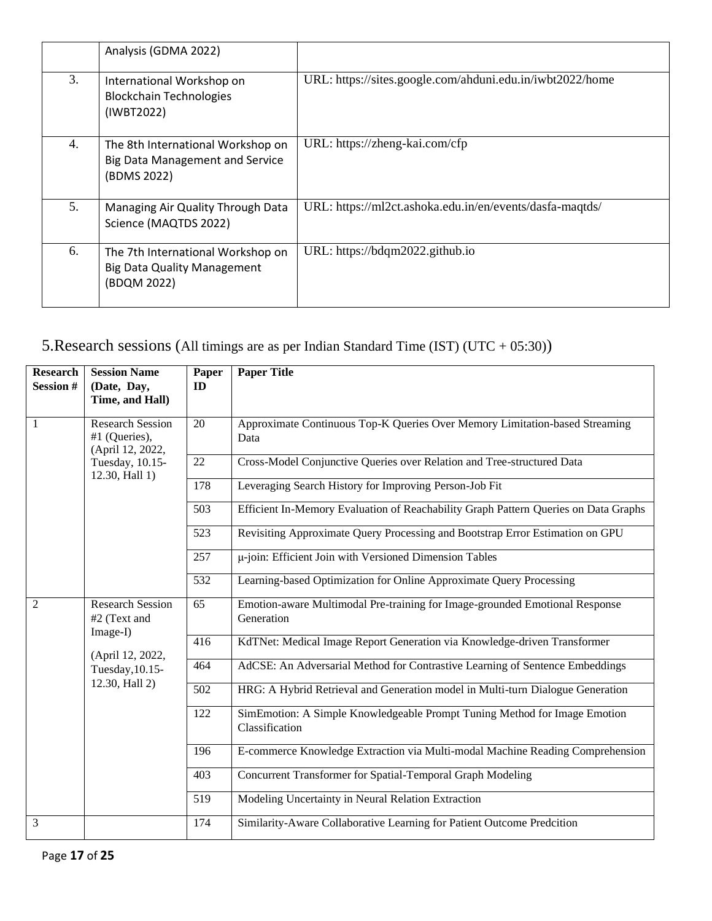|    | Analysis (GDMA 2022)                                                                       |                                                           |
|----|--------------------------------------------------------------------------------------------|-----------------------------------------------------------|
| 3. | International Workshop on<br><b>Blockchain Technologies</b><br>(IWBT2022)                  | URL: https://sites.google.com/ahduni.edu.in/iwbt2022/home |
| 4. | The 8th International Workshop on<br><b>Big Data Management and Service</b><br>(BDMS 2022) | URL: https://zheng-kai.com/cfp                            |
| 5. | Managing Air Quality Through Data<br>Science (MAQTDS 2022)                                 | URL: https://ml2ct.ashoka.edu.in/en/events/dasfa-maqtds/  |
| 6. | The 7th International Workshop on<br><b>Big Data Quality Management</b><br>(BDQM 2022)     | URL: https://bdqm2022.github.io                           |

### 5.Research sessions (All timings are as per Indian Standard Time (IST) (UTC + 05:30))

| <b>Research</b><br><b>Session#</b> | <b>Session Name</b><br>(Date, Day,<br>Time, and Hall)                                                        | Paper<br>ID | <b>Paper Title</b>                                                                          |
|------------------------------------|--------------------------------------------------------------------------------------------------------------|-------------|---------------------------------------------------------------------------------------------|
| $\mathbf{1}$                       | <b>Research Session</b><br>#1 (Queries),<br>(April 12, 2022,<br>Tuesday, 10.15-<br>12.30, Hall 1)            | 20          | Approximate Continuous Top-K Queries Over Memory Limitation-based Streaming<br>Data         |
|                                    |                                                                                                              | 22          | Cross-Model Conjunctive Queries over Relation and Tree-structured Data                      |
|                                    |                                                                                                              | 178         | Leveraging Search History for Improving Person-Job Fit                                      |
|                                    |                                                                                                              | 503         | Efficient In-Memory Evaluation of Reachability Graph Pattern Queries on Data Graphs         |
|                                    |                                                                                                              | 523         | Revisiting Approximate Query Processing and Bootstrap Error Estimation on GPU               |
|                                    |                                                                                                              | 257         | µ-join: Efficient Join with Versioned Dimension Tables                                      |
|                                    |                                                                                                              | 532         | Learning-based Optimization for Online Approximate Query Processing                         |
| $\overline{2}$                     | <b>Research Session</b><br>#2 (Text and<br>Image-I)<br>(April 12, 2022,<br>Tuesday, 10.15-<br>12.30, Hall 2) | 65          | Emotion-aware Multimodal Pre-training for Image-grounded Emotional Response<br>Generation   |
|                                    |                                                                                                              | 416         | KdTNet: Medical Image Report Generation via Knowledge-driven Transformer                    |
|                                    |                                                                                                              | 464         | AdCSE: An Adversarial Method for Contrastive Learning of Sentence Embeddings                |
|                                    |                                                                                                              | 502         | HRG: A Hybrid Retrieval and Generation model in Multi-turn Dialogue Generation              |
|                                    |                                                                                                              | 122         | SimEmotion: A Simple Knowledgeable Prompt Tuning Method for Image Emotion<br>Classification |
|                                    |                                                                                                              | 196         | E-commerce Knowledge Extraction via Multi-modal Machine Reading Comprehension               |
|                                    |                                                                                                              | 403         | Concurrent Transformer for Spatial-Temporal Graph Modeling                                  |
|                                    |                                                                                                              | 519         | Modeling Uncertainty in Neural Relation Extraction                                          |
| 3                                  |                                                                                                              | 174         | Similarity-Aware Collaborative Learning for Patient Outcome Predcition                      |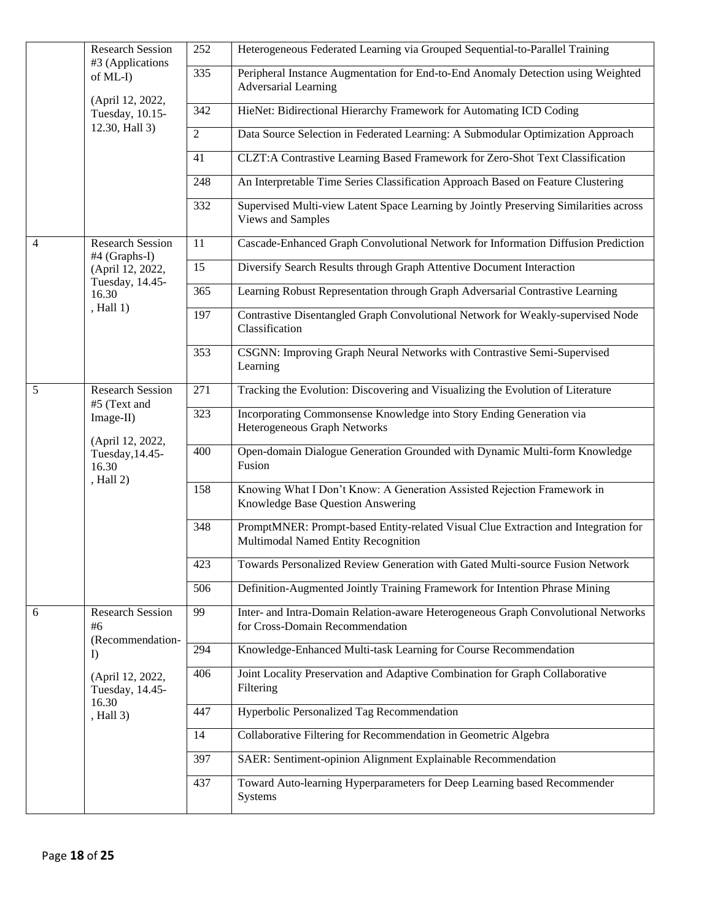|   | <b>Research Session</b><br>#3 (Applications<br>of ML-I)<br>(April 12, 2022,<br>Tuesday, 10.15-<br>12.30, Hall 3) | 252              | Heterogeneous Federated Learning via Grouped Sequential-to-Parallel Training                                              |
|---|------------------------------------------------------------------------------------------------------------------|------------------|---------------------------------------------------------------------------------------------------------------------------|
|   |                                                                                                                  | $\overline{335}$ | Peripheral Instance Augmentation for End-to-End Anomaly Detection using Weighted<br><b>Adversarial Learning</b>           |
|   |                                                                                                                  | 342              | HieNet: Bidirectional Hierarchy Framework for Automating ICD Coding                                                       |
|   |                                                                                                                  | $\overline{2}$   | Data Source Selection in Federated Learning: A Submodular Optimization Approach                                           |
|   |                                                                                                                  | 41               | CLZT:A Contrastive Learning Based Framework for Zero-Shot Text Classification                                             |
|   |                                                                                                                  | 248              | An Interpretable Time Series Classification Approach Based on Feature Clustering                                          |
|   |                                                                                                                  | 332              | Supervised Multi-view Latent Space Learning by Jointly Preserving Similarities across<br>Views and Samples                |
| 4 | <b>Research Session</b><br>#4 (Graphs-I)                                                                         | 11               | Cascade-Enhanced Graph Convolutional Network for Information Diffusion Prediction                                         |
|   | (April 12, 2022,<br>Tuesday, 14.45-                                                                              | 15               | Diversify Search Results through Graph Attentive Document Interaction                                                     |
|   | 16.30                                                                                                            | $\overline{365}$ | Learning Robust Representation through Graph Adversarial Contrastive Learning                                             |
|   | , Hall 1)                                                                                                        | 197              | Contrastive Disentangled Graph Convolutional Network for Weakly-supervised Node<br>Classification                         |
|   |                                                                                                                  | 353              | CSGNN: Improving Graph Neural Networks with Contrastive Semi-Supervised<br>Learning                                       |
| 5 | <b>Research Session</b>                                                                                          | 271              | Tracking the Evolution: Discovering and Visualizing the Evolution of Literature                                           |
|   | #5 (Text and<br>Image-II)<br>(April 12, 2022,<br>Tuesday, 14.45-<br>16.30<br>, Hall 2)                           | $\overline{323}$ | Incorporating Commonsense Knowledge into Story Ending Generation via<br>Heterogeneous Graph Networks                      |
|   |                                                                                                                  | 400              | Open-domain Dialogue Generation Grounded with Dynamic Multi-form Knowledge<br>Fusion                                      |
|   |                                                                                                                  | 158              | Knowing What I Don't Know: A Generation Assisted Rejection Framework in<br>Knowledge Base Question Answering              |
|   |                                                                                                                  | 348              | PromptMNER: Prompt-based Entity-related Visual Clue Extraction and Integration for<br>Multimodal Named Entity Recognition |
|   |                                                                                                                  | 423              | Towards Personalized Review Generation with Gated Multi-source Fusion Network                                             |
|   |                                                                                                                  | $\overline{506}$ | Definition-Augmented Jointly Training Framework for Intention Phrase Mining                                               |
| 6 | <b>Research Session</b><br>#6<br>(Recommendation-                                                                | 99               | Inter- and Intra-Domain Relation-aware Heterogeneous Graph Convolutional Networks<br>for Cross-Domain Recommendation      |
|   | I                                                                                                                | 294              | Knowledge-Enhanced Multi-task Learning for Course Recommendation                                                          |
|   | (April 12, 2022,<br>Tuesday, 14.45-                                                                              | 406              | Joint Locality Preservation and Adaptive Combination for Graph Collaborative<br>Filtering                                 |
|   | 16.30<br>, Hall 3)                                                                                               | 447              | Hyperbolic Personalized Tag Recommendation                                                                                |
|   |                                                                                                                  | 14               | Collaborative Filtering for Recommendation in Geometric Algebra                                                           |
|   |                                                                                                                  | 397              | SAER: Sentiment-opinion Alignment Explainable Recommendation                                                              |
|   |                                                                                                                  | 437              | Toward Auto-learning Hyperparameters for Deep Learning based Recommender<br>Systems                                       |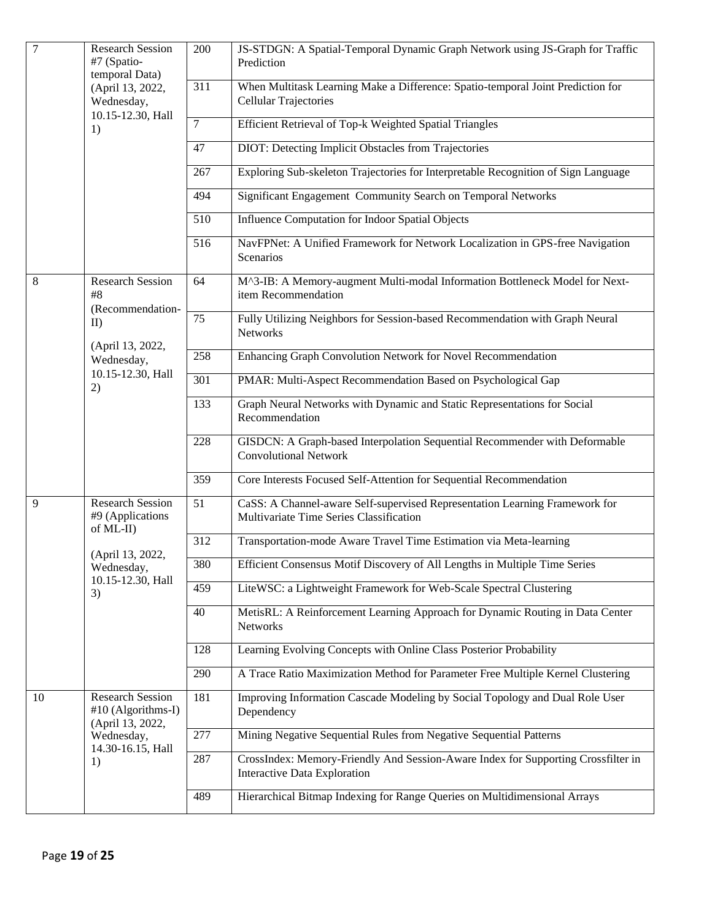| $\overline{7}$ | <b>Research Session</b><br>#7 (Spatio-<br>temporal Data)<br>(April 13, 2022,<br>Wednesday,                            | 200            | JS-STDGN: A Spatial-Temporal Dynamic Graph Network using JS-Graph for Traffic<br>Prediction                            |
|----------------|-----------------------------------------------------------------------------------------------------------------------|----------------|------------------------------------------------------------------------------------------------------------------------|
|                |                                                                                                                       | 311            | When Multitask Learning Make a Difference: Spatio-temporal Joint Prediction for<br>Cellular Trajectories               |
|                | 10.15-12.30, Hall<br>1)                                                                                               | $\overline{7}$ | <b>Efficient Retrieval of Top-k Weighted Spatial Triangles</b>                                                         |
|                |                                                                                                                       | 47             | DIOT: Detecting Implicit Obstacles from Trajectories                                                                   |
|                |                                                                                                                       | 267            | Exploring Sub-skeleton Trajectories for Interpretable Recognition of Sign Language                                     |
|                |                                                                                                                       | 494            | Significant Engagement Community Search on Temporal Networks                                                           |
|                |                                                                                                                       | 510            | Influence Computation for Indoor Spatial Objects                                                                       |
|                |                                                                                                                       | 516            | NavFPNet: A Unified Framework for Network Localization in GPS-free Navigation<br>Scenarios                             |
| $8\,$          | <b>Research Session</b><br>#8<br>(Recommendation-                                                                     | 64             | M^3-IB: A Memory-augment Multi-modal Information Bottleneck Model for Next-<br>item Recommendation                     |
|                | II<br>(April 13, 2022,                                                                                                | 75             | Fully Utilizing Neighbors for Session-based Recommendation with Graph Neural<br>Networks                               |
|                | Wednesday,                                                                                                            | 258            | Enhancing Graph Convolution Network for Novel Recommendation                                                           |
|                | 10.15-12.30, Hall<br>2)                                                                                               | 301            | PMAR: Multi-Aspect Recommendation Based on Psychological Gap                                                           |
|                |                                                                                                                       | 133            | Graph Neural Networks with Dynamic and Static Representations for Social<br>Recommendation                             |
|                |                                                                                                                       | 228            | GISDCN: A Graph-based Interpolation Sequential Recommender with Deformable<br><b>Convolutional Network</b>             |
|                |                                                                                                                       | 359            | Core Interests Focused Self-Attention for Sequential Recommendation                                                    |
| 9              | <b>Research Session</b><br>#9 (Applications<br>of ML-II)<br>(April 13, 2022,<br>Wednesday,<br>10.15-12.30, Hall<br>3) | 51             | CaSS: A Channel-aware Self-supervised Representation Learning Framework for<br>Multivariate Time Series Classification |
|                |                                                                                                                       | 312            | Transportation-mode Aware Travel Time Estimation via Meta-learning                                                     |
|                |                                                                                                                       | 380            | Efficient Consensus Motif Discovery of All Lengths in Multiple Time Series                                             |
|                |                                                                                                                       | 459            | LiteWSC: a Lightweight Framework for Web-Scale Spectral Clustering                                                     |
|                |                                                                                                                       | 40             | MetisRL: A Reinforcement Learning Approach for Dynamic Routing in Data Center<br>Networks                              |
|                |                                                                                                                       | 128            | Learning Evolving Concepts with Online Class Posterior Probability                                                     |
|                |                                                                                                                       | 290            | A Trace Ratio Maximization Method for Parameter Free Multiple Kernel Clustering                                        |
| 10             | <b>Research Session</b><br>#10 (Algorithms-I)<br>(April 13, 2022,                                                     | 181            | Improving Information Cascade Modeling by Social Topology and Dual Role User<br>Dependency                             |
|                | Wednesday,<br>14.30-16.15, Hall                                                                                       | 277            | Mining Negative Sequential Rules from Negative Sequential Patterns                                                     |
|                | 1)                                                                                                                    | 287            | CrossIndex: Memory-Friendly And Session-Aware Index for Supporting Crossfilter in<br>Interactive Data Exploration      |
|                |                                                                                                                       | 489            | Hierarchical Bitmap Indexing for Range Queries on Multidimensional Arrays                                              |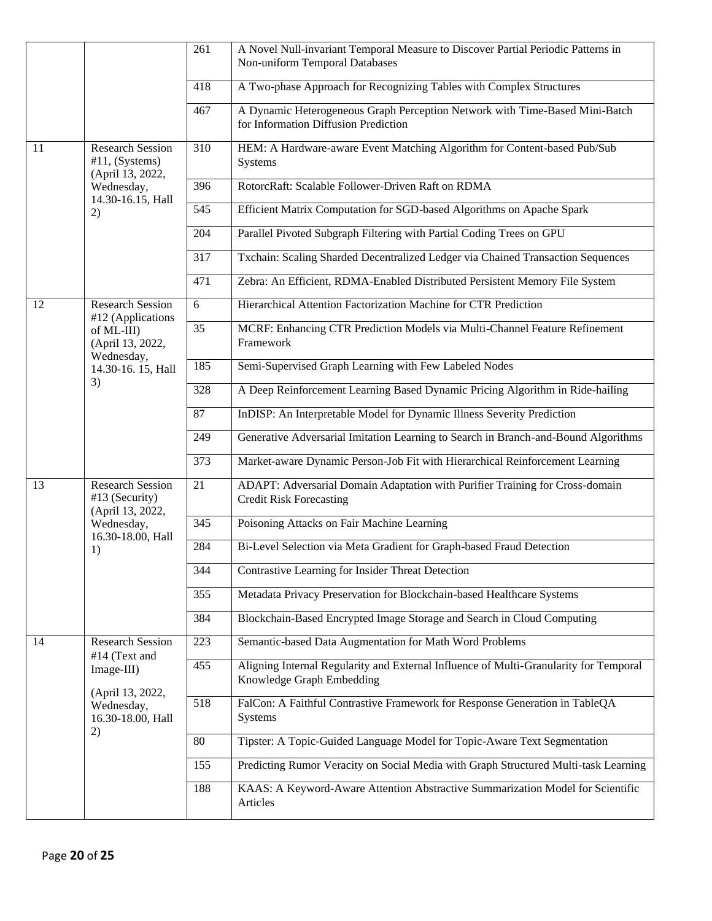|    |                                                                                                        | 261             | A Novel Null-invariant Temporal Measure to Discover Partial Periodic Patterns in<br>Non-uniform Temporal Databases  |
|----|--------------------------------------------------------------------------------------------------------|-----------------|---------------------------------------------------------------------------------------------------------------------|
|    |                                                                                                        | 418             | A Two-phase Approach for Recognizing Tables with Complex Structures                                                 |
|    |                                                                                                        | 467             | A Dynamic Heterogeneous Graph Perception Network with Time-Based Mini-Batch<br>for Information Diffusion Prediction |
| 11 | <b>Research Session</b><br>$#11$ , (Systems)<br>(April 13, 2022,                                       | 310             | HEM: A Hardware-aware Event Matching Algorithm for Content-based Pub/Sub<br><b>Systems</b>                          |
|    | Wednesday,<br>14.30-16.15, Hall                                                                        | 396             | RotorcRaft: Scalable Follower-Driven Raft on RDMA                                                                   |
|    | 2)                                                                                                     | 545             | Efficient Matrix Computation for SGD-based Algorithms on Apache Spark                                               |
|    |                                                                                                        | 204             | Parallel Pivoted Subgraph Filtering with Partial Coding Trees on GPU                                                |
|    |                                                                                                        | 317             | Txchain: Scaling Sharded Decentralized Ledger via Chained Transaction Sequences                                     |
|    |                                                                                                        | 471             | Zebra: An Efficient, RDMA-Enabled Distributed Persistent Memory File System                                         |
| 12 | <b>Research Session</b><br>#12 (Applications                                                           | $\overline{6}$  | Hierarchical Attention Factorization Machine for CTR Prediction                                                     |
|    | of ML-III)<br>(April 13, 2022,<br>Wednesday,                                                           | $\overline{35}$ | MCRF: Enhancing CTR Prediction Models via Multi-Channel Feature Refinement<br>Framework                             |
|    | 14.30-16. 15, Hall                                                                                     | 185             | Semi-Supervised Graph Learning with Few Labeled Nodes                                                               |
|    | 3)                                                                                                     | 328             | A Deep Reinforcement Learning Based Dynamic Pricing Algorithm in Ride-hailing                                       |
|    |                                                                                                        | 87              | InDISP: An Interpretable Model for Dynamic Illness Severity Prediction                                              |
|    |                                                                                                        | 249             | Generative Adversarial Imitation Learning to Search in Branch-and-Bound Algorithms                                  |
|    |                                                                                                        | 373             | Market-aware Dynamic Person-Job Fit with Hierarchical Reinforcement Learning                                        |
| 13 | <b>Research Session</b><br>#13 (Security)<br>(April 13, 2022,<br>Wednesday,<br>16.30-18.00, Hall<br>1) | 21              | ADAPT: Adversarial Domain Adaptation with Purifier Training for Cross-domain<br><b>Credit Risk Forecasting</b>      |
|    |                                                                                                        | 345             | Poisoning Attacks on Fair Machine Learning                                                                          |
|    |                                                                                                        | 284             | Bi-Level Selection via Meta Gradient for Graph-based Fraud Detection                                                |
|    |                                                                                                        | 344             | Contrastive Learning for Insider Threat Detection                                                                   |
|    |                                                                                                        | 355             | Metadata Privacy Preservation for Blockchain-based Healthcare Systems                                               |
|    |                                                                                                        | 384             | Blockchain-Based Encrypted Image Storage and Search in Cloud Computing                                              |
| 14 | <b>Research Session</b>                                                                                | 223             | Semantic-based Data Augmentation for Math Word Problems                                                             |
|    | #14 (Text and<br>Image-III)<br>(April 13, 2022,<br>Wednesday,<br>16.30-18.00, Hall<br>2)               | 455             | Aligning Internal Regularity and External Influence of Multi-Granularity for Temporal<br>Knowledge Graph Embedding  |
|    |                                                                                                        | 518             | FalCon: A Faithful Contrastive Framework for Response Generation in TableQA<br>Systems                              |
|    |                                                                                                        | 80              | Tipster: A Topic-Guided Language Model for Topic-Aware Text Segmentation                                            |
|    |                                                                                                        | 155             | Predicting Rumor Veracity on Social Media with Graph Structured Multi-task Learning                                 |
|    |                                                                                                        | 188             | KAAS: A Keyword-Aware Attention Abstractive Summarization Model for Scientific<br>Articles                          |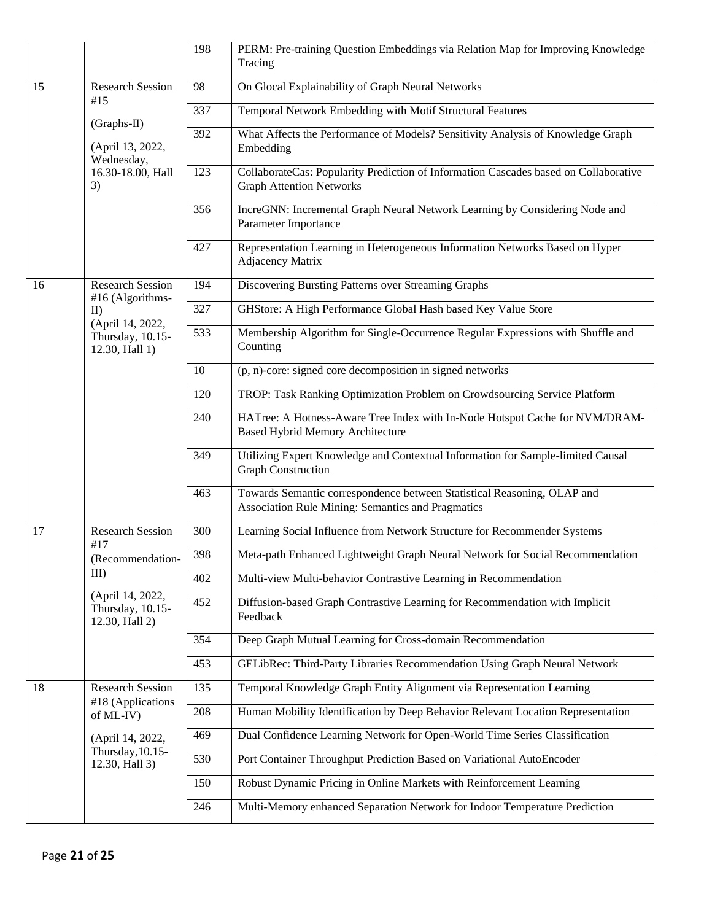|           |                                                        | 198 | PERM: Pre-training Question Embeddings via Relation Map for Improving Knowledge<br>Tracing                                   |
|-----------|--------------------------------------------------------|-----|------------------------------------------------------------------------------------------------------------------------------|
| 15<br>#15 | <b>Research Session</b>                                | 98  | On Glocal Explainability of Graph Neural Networks                                                                            |
|           |                                                        | 337 | Temporal Network Embedding with Motif Structural Features                                                                    |
|           | (Graphs-II)<br>(April 13, 2022,<br>Wednesday,          | 392 | What Affects the Performance of Models? Sensitivity Analysis of Knowledge Graph<br>Embedding                                 |
|           | 16.30-18.00, Hall<br>3)                                | 123 | CollaborateCas: Popularity Prediction of Information Cascades based on Collaborative<br><b>Graph Attention Networks</b>      |
|           |                                                        | 356 | IncreGNN: Incremental Graph Neural Network Learning by Considering Node and<br>Parameter Importance                          |
|           |                                                        | 427 | Representation Learning in Heterogeneous Information Networks Based on Hyper<br><b>Adjacency Matrix</b>                      |
| 16        | <b>Research Session</b><br>#16 (Algorithms-            | 194 | Discovering Bursting Patterns over Streaming Graphs                                                                          |
|           | II                                                     | 327 | GHStore: A High Performance Global Hash based Key Value Store                                                                |
|           | (April 14, 2022,<br>Thursday, 10.15-<br>12.30, Hall 1) | 533 | Membership Algorithm for Single-Occurrence Regular Expressions with Shuffle and<br>Counting                                  |
|           |                                                        | 10  | (p, n)-core: signed core decomposition in signed networks                                                                    |
|           |                                                        | 120 | TROP: Task Ranking Optimization Problem on Crowdsourcing Service Platform                                                    |
|           |                                                        | 240 | HATree: A Hotness-Aware Tree Index with In-Node Hotspot Cache for NVM/DRAM-<br><b>Based Hybrid Memory Architecture</b>       |
|           |                                                        | 349 | Utilizing Expert Knowledge and Contextual Information for Sample-limited Causal<br><b>Graph Construction</b>                 |
|           |                                                        | 463 | Towards Semantic correspondence between Statistical Reasoning, OLAP and<br>Association Rule Mining: Semantics and Pragmatics |
| 17        | <b>Research Session</b><br>#17                         | 300 | Learning Social Influence from Network Structure for Recommender Systems                                                     |
|           | (Recommendation-<br>$III$ )                            | 398 | Meta-path Enhanced Lightweight Graph Neural Network for Social Recommendation                                                |
|           |                                                        | 402 | Multi-view Multi-behavior Contrastive Learning in Recommendation                                                             |
|           | (April 14, 2022,<br>Thursday, 10.15-<br>12.30, Hall 2) | 452 | Diffusion-based Graph Contrastive Learning for Recommendation with Implicit<br>Feedback                                      |
|           |                                                        | 354 | Deep Graph Mutual Learning for Cross-domain Recommendation                                                                   |
|           |                                                        | 453 | GELibRec: Third-Party Libraries Recommendation Using Graph Neural Network                                                    |
| 18        | <b>Research Session</b>                                | 135 | Temporal Knowledge Graph Entity Alignment via Representation Learning                                                        |
|           | #18 (Applications<br>of ML-IV)                         | 208 | Human Mobility Identification by Deep Behavior Relevant Location Representation                                              |
|           | (April 14, 2022,<br>Thursday, 10.15-<br>12.30, Hall 3) | 469 | Dual Confidence Learning Network for Open-World Time Series Classification                                                   |
|           |                                                        | 530 | Port Container Throughput Prediction Based on Variational AutoEncoder                                                        |
|           |                                                        | 150 | Robust Dynamic Pricing in Online Markets with Reinforcement Learning                                                         |
|           |                                                        | 246 | Multi-Memory enhanced Separation Network for Indoor Temperature Prediction                                                   |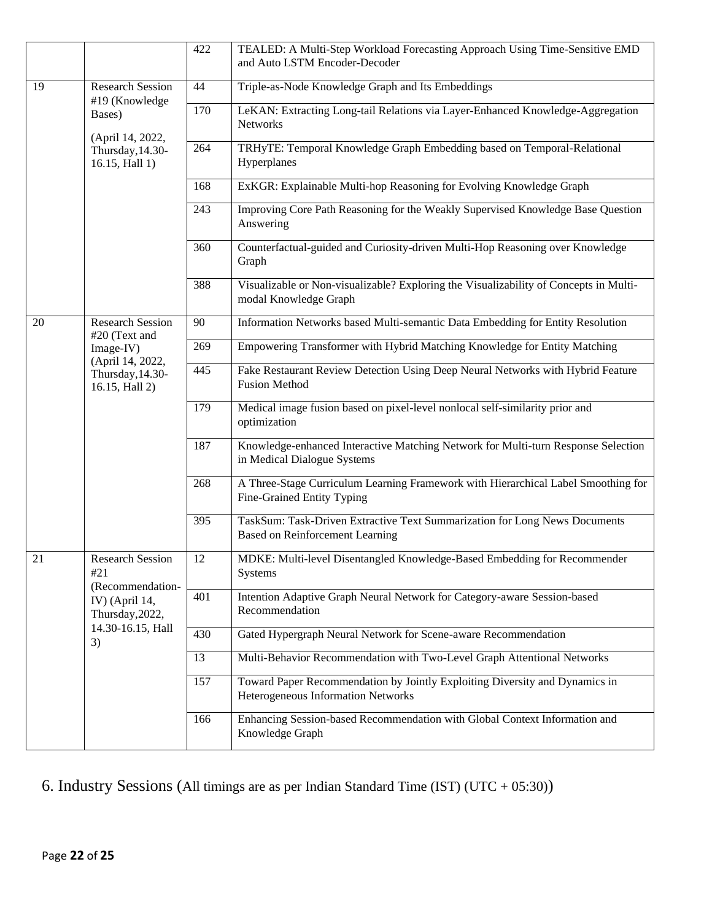|    |                                                                                                                    | 422 | TEALED: A Multi-Step Workload Forecasting Approach Using Time-Sensitive EMD<br>and Auto LSTM Encoder-Decoder         |
|----|--------------------------------------------------------------------------------------------------------------------|-----|----------------------------------------------------------------------------------------------------------------------|
| 19 | <b>Research Session</b><br>#19 (Knowledge<br>Bases)<br>(April 14, 2022,<br>Thursday, 14.30-<br>16.15, Hall 1)      | 44  | Triple-as-Node Knowledge Graph and Its Embeddings                                                                    |
|    |                                                                                                                    | 170 | LeKAN: Extracting Long-tail Relations via Layer-Enhanced Knowledge-Aggregation<br>Networks                           |
|    |                                                                                                                    | 264 | TRHyTE: Temporal Knowledge Graph Embedding based on Temporal-Relational<br>Hyperplanes                               |
|    |                                                                                                                    | 168 | ExKGR: Explainable Multi-hop Reasoning for Evolving Knowledge Graph                                                  |
|    |                                                                                                                    | 243 | Improving Core Path Reasoning for the Weakly Supervised Knowledge Base Question<br>Answering                         |
|    |                                                                                                                    | 360 | Counterfactual-guided and Curiosity-driven Multi-Hop Reasoning over Knowledge<br>Graph                               |
|    |                                                                                                                    | 388 | Visualizable or Non-visualizable? Exploring the Visualizability of Concepts in Multi-<br>modal Knowledge Graph       |
| 20 | <b>Research Session</b><br>#20 (Text and                                                                           | 90  | Information Networks based Multi-semantic Data Embedding for Entity Resolution                                       |
|    | Image-IV)                                                                                                          | 269 | Empowering Transformer with Hybrid Matching Knowledge for Entity Matching                                            |
|    | (April 14, 2022,<br>Thursday, 14.30-<br>16.15, Hall 2)                                                             | 445 | Fake Restaurant Review Detection Using Deep Neural Networks with Hybrid Feature<br><b>Fusion Method</b>              |
|    |                                                                                                                    | 179 | Medical image fusion based on pixel-level nonlocal self-similarity prior and<br>optimization                         |
|    |                                                                                                                    | 187 | Knowledge-enhanced Interactive Matching Network for Multi-turn Response Selection<br>in Medical Dialogue Systems     |
|    |                                                                                                                    | 268 | A Three-Stage Curriculum Learning Framework with Hierarchical Label Smoothing for<br>Fine-Grained Entity Typing      |
|    |                                                                                                                    | 395 | TaskSum: Task-Driven Extractive Text Summarization for Long News Documents<br><b>Based on Reinforcement Learning</b> |
| 21 | <b>Research Session</b><br>#21<br>(Recommendation-<br>IV) (April 14,<br>Thursday, 2022,<br>14.30-16.15, Hall<br>3) | 12  | MDKE: Multi-level Disentangled Knowledge-Based Embedding for Recommender<br>Systems                                  |
|    |                                                                                                                    | 401 | Intention Adaptive Graph Neural Network for Category-aware Session-based<br>Recommendation                           |
|    |                                                                                                                    | 430 | Gated Hypergraph Neural Network for Scene-aware Recommendation                                                       |
|    |                                                                                                                    | 13  | Multi-Behavior Recommendation with Two-Level Graph Attentional Networks                                              |
|    |                                                                                                                    | 157 | Toward Paper Recommendation by Jointly Exploiting Diversity and Dynamics in<br>Heterogeneous Information Networks    |
|    |                                                                                                                    | 166 | Enhancing Session-based Recommendation with Global Context Information and<br>Knowledge Graph                        |

### 6. Industry Sessions (All timings are as per Indian Standard Time (IST) (UTC + 05:30))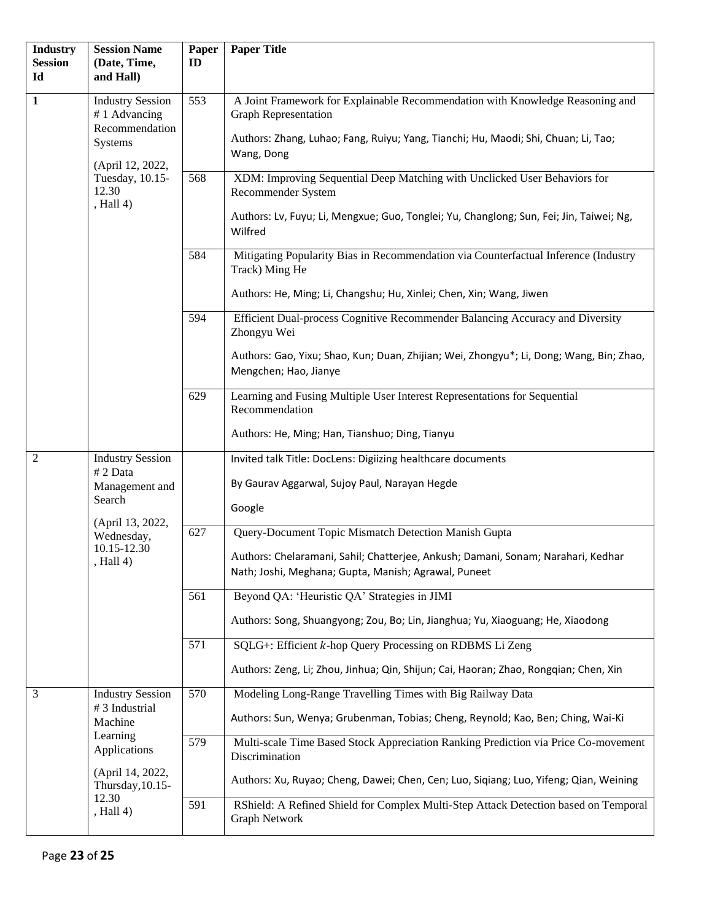| <b>Industry</b><br><b>Session</b><br>Id | <b>Session Name</b><br>(Date, Time,<br>and Hall)                                                                                  | Paper<br>ID | <b>Paper Title</b>                                                                                                                                                                                               |
|-----------------------------------------|-----------------------------------------------------------------------------------------------------------------------------------|-------------|------------------------------------------------------------------------------------------------------------------------------------------------------------------------------------------------------------------|
| $\mathbf{1}$                            | <b>Industry Session</b><br>#1 Advancing<br>Recommendation<br>Systems<br>(April 12, 2022,<br>Tuesday, 10.15-<br>12.30<br>, Hall 4) | 553         | A Joint Framework for Explainable Recommendation with Knowledge Reasoning and<br><b>Graph Representation</b><br>Authors: Zhang, Luhao; Fang, Ruiyu; Yang, Tianchi; Hu, Maodi; Shi, Chuan; Li, Tao;<br>Wang, Dong |
|                                         |                                                                                                                                   | 568         | XDM: Improving Sequential Deep Matching with Unclicked User Behaviors for<br>Recommender System<br>Authors: Lv, Fuyu; Li, Mengxue; Guo, Tonglei; Yu, Changlong; Sun, Fei; Jin, Taiwei; Ng,<br>Wilfred            |
|                                         |                                                                                                                                   | 584         | Mitigating Popularity Bias in Recommendation via Counterfactual Inference (Industry<br>Track) Ming He<br>Authors: He, Ming; Li, Changshu; Hu, Xinlei; Chen, Xin; Wang, Jiwen                                     |
|                                         |                                                                                                                                   | 594         | Efficient Dual-process Cognitive Recommender Balancing Accuracy and Diversity<br>Zhongyu Wei<br>Authors: Gao, Yixu; Shao, Kun; Duan, Zhijian; Wei, Zhongyu*; Li, Dong; Wang, Bin; Zhao,<br>Mengchen; Hao, Jianye |
|                                         |                                                                                                                                   | 629         | Learning and Fusing Multiple User Interest Representations for Sequential<br>Recommendation<br>Authors: He, Ming; Han, Tianshuo; Ding, Tianyu                                                                    |
| $\overline{2}$                          | <b>Industry Session</b><br># 2 Data<br>Management and<br>Search<br>(April 13, 2022,<br>Wednesday,<br>10.15-12.30<br>Hall 4)       |             | Invited talk Title: DocLens: Digiizing healthcare documents<br>By Gaurav Aggarwal, Sujoy Paul, Narayan Hegde<br>Google                                                                                           |
|                                         |                                                                                                                                   | 627         | Query-Document Topic Mismatch Detection Manish Gupta<br>Authors: Chelaramani, Sahil; Chatterjee, Ankush; Damani, Sonam; Narahari, Kedhar<br>Nath; Joshi, Meghana; Gupta, Manish; Agrawal, Puneet                 |
|                                         |                                                                                                                                   | 561         | Beyond QA: 'Heuristic QA' Strategies in JIMI<br>Authors: Song, Shuangyong; Zou, Bo; Lin, Jianghua; Yu, Xiaoguang; He, Xiaodong                                                                                   |
|                                         |                                                                                                                                   | 571         | SQLG+: Efficient k-hop Query Processing on RDBMS Li Zeng<br>Authors: Zeng, Li; Zhou, Jinhua; Qin, Shijun; Cai, Haoran; Zhao, Rongqian; Chen, Xin                                                                 |
| 3                                       | <b>Industry Session</b><br>#3 Industrial<br>Machine<br>Learning<br>Applications<br>(April 14, 2022,                               | 570         | Modeling Long-Range Travelling Times with Big Railway Data<br>Authors: Sun, Wenya; Grubenman, Tobias; Cheng, Reynold; Kao, Ben; Ching, Wai-Ki                                                                    |
|                                         |                                                                                                                                   | 579         | Multi-scale Time Based Stock Appreciation Ranking Prediction via Price Co-movement<br>Discrimination<br>Authors: Xu, Ruyao; Cheng, Dawei; Chen, Cen; Luo, Siqiang; Luo, Yifeng; Qian, Weining                    |
|                                         | Thursday, 10.15-<br>12.30<br>, Hall $4$ )                                                                                         | 591         | RShield: A Refined Shield for Complex Multi-Step Attack Detection based on Temporal<br>Graph Network                                                                                                             |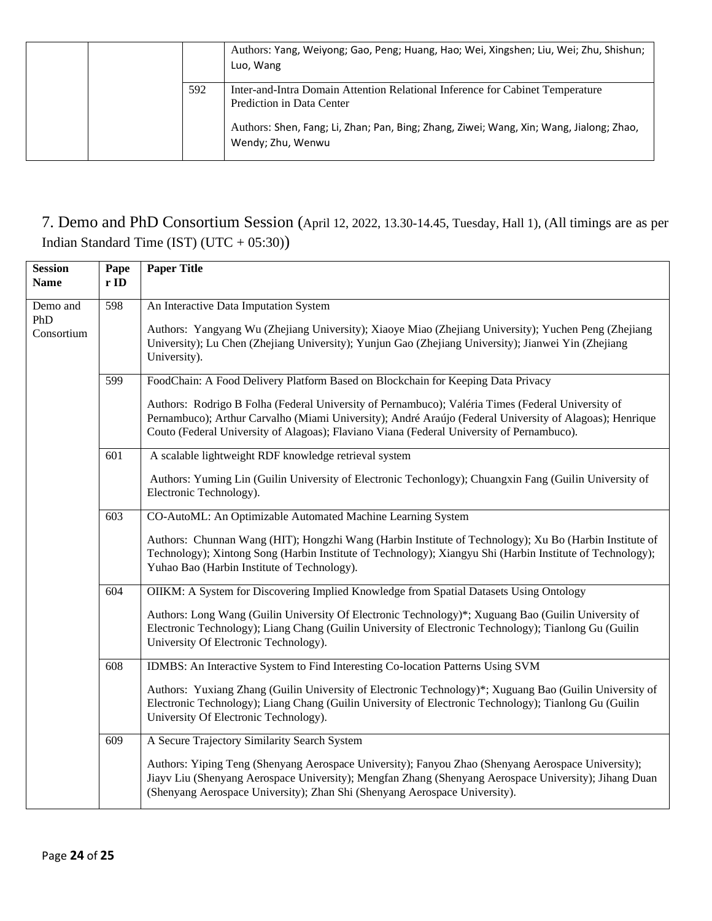|     | Authors: Yang, Weiyong; Gao, Peng; Huang, Hao; Wei, Xingshen; Liu, Wei; Zhu, Shishun;<br>Luo, Wang           |
|-----|--------------------------------------------------------------------------------------------------------------|
| 592 | Inter-and-Intra Domain Attention Relational Inference for Cabinet Temperature<br>Prediction in Data Center   |
|     | Authors: Shen, Fang; Li, Zhan; Pan, Bing; Zhang, Ziwei; Wang, Xin; Wang, Jialong; Zhao,<br>Wendy; Zhu, Wenwu |

### 7. Demo and PhD Consortium Session (April 12, 2022, 13.30-14.45, Tuesday, Hall 1), (All timings are as per Indian Standard Time (IST) (UTC + 05:30))

| <b>Session</b><br><b>Name</b> | Pape<br>r ID | <b>Paper Title</b>                                                                                                                                                                                                                                                                                        |
|-------------------------------|--------------|-----------------------------------------------------------------------------------------------------------------------------------------------------------------------------------------------------------------------------------------------------------------------------------------------------------|
| Demo and<br>PhD<br>Consortium | 598          | An Interactive Data Imputation System                                                                                                                                                                                                                                                                     |
|                               |              | Authors: Yangyang Wu (Zhejiang University); Xiaoye Miao (Zhejiang University); Yuchen Peng (Zhejiang<br>University); Lu Chen (Zhejiang University); Yunjun Gao (Zhejiang University); Jianwei Yin (Zhejiang<br>University).                                                                               |
|                               | 599          | FoodChain: A Food Delivery Platform Based on Blockchain for Keeping Data Privacy                                                                                                                                                                                                                          |
|                               |              | Authors: Rodrigo B Folha (Federal University of Pernambuco); Valéria Times (Federal University of<br>Pernambuco); Arthur Carvalho (Miami University); André Araújo (Federal University of Alagoas); Henrique<br>Couto (Federal University of Alagoas); Flaviano Viana (Federal University of Pernambuco). |
|                               | 601          | A scalable lightweight RDF knowledge retrieval system                                                                                                                                                                                                                                                     |
|                               |              | Authors: Yuming Lin (Guilin University of Electronic Techonlogy); Chuangxin Fang (Guilin University of<br>Electronic Technology).                                                                                                                                                                         |
|                               | 603          | CO-AutoML: An Optimizable Automated Machine Learning System                                                                                                                                                                                                                                               |
|                               |              | Authors: Chunnan Wang (HIT); Hongzhi Wang (Harbin Institute of Technology); Xu Bo (Harbin Institute of<br>Technology); Xintong Song (Harbin Institute of Technology); Xiangyu Shi (Harbin Institute of Technology);<br>Yuhao Bao (Harbin Institute of Technology).                                        |
|                               | 604          | OIIKM: A System for Discovering Implied Knowledge from Spatial Datasets Using Ontology                                                                                                                                                                                                                    |
|                               |              | Authors: Long Wang (Guilin University Of Electronic Technology)*; Xuguang Bao (Guilin University of<br>Electronic Technology); Liang Chang (Guilin University of Electronic Technology); Tianlong Gu (Guilin<br>University Of Electronic Technology).                                                     |
|                               | 608          | IDMBS: An Interactive System to Find Interesting Co-location Patterns Using SVM                                                                                                                                                                                                                           |
|                               |              | Authors: Yuxiang Zhang (Guilin University of Electronic Technology)*; Xuguang Bao (Guilin University of<br>Electronic Technology); Liang Chang (Guilin University of Electronic Technology); Tianlong Gu (Guilin<br>University Of Electronic Technology).                                                 |
|                               | 609          | A Secure Trajectory Similarity Search System                                                                                                                                                                                                                                                              |
|                               |              | Authors: Yiping Teng (Shenyang Aerospace University); Fanyou Zhao (Shenyang Aerospace University);<br>Jiayv Liu (Shenyang Aerospace University); Mengfan Zhang (Shenyang Aerospace University); Jihang Duan<br>(Shenyang Aerospace University); Zhan Shi (Shenyang Aerospace University).                 |